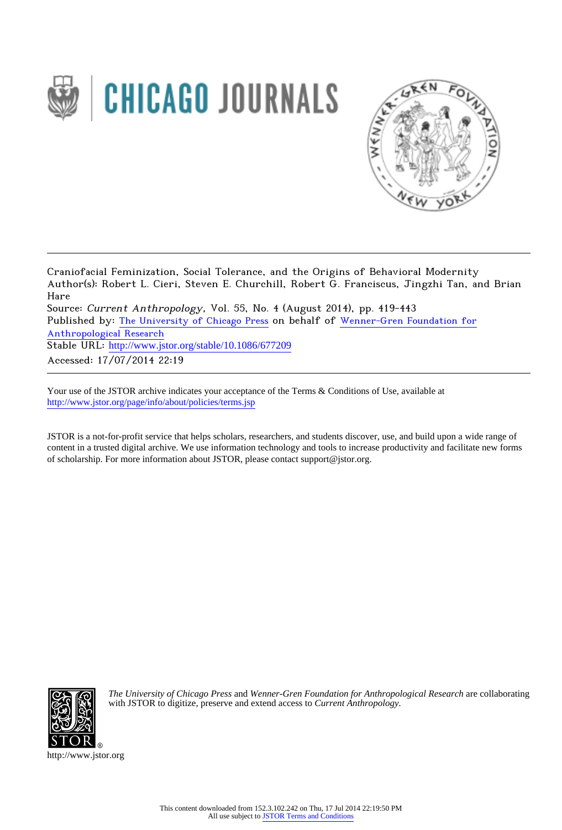



Craniofacial Feminization, Social Tolerance, and the Origins of Behavioral Modernity Author(s): Robert L. Cieri, Steven E. Churchill, Robert G. Franciscus, Jingzhi Tan, and Brian Hare Source: Current Anthropology, Vol. 55, No. 4 (August 2014), pp. 419-443 Published by: [The University of Chicago Press](http://www.jstor.org/action/showPublisher?publisherCode=ucpress) on behalf of [Wenner-Gren Foundation for](http://www.jstor.org/action/showPublisher?publisherCode=wennergren) [Anthropological Research](http://www.jstor.org/action/showPublisher?publisherCode=wennergren) Stable URL: http://www.jstor.org/stable/10.1086/677209 Accessed: 17/07/2014 22:19

Your use of the JSTOR archive indicates your acceptance of the Terms & Conditions of Use, available at <http://www.jstor.org/page/info/about/policies/terms.jsp>

JSTOR is a not-for-profit service that helps scholars, researchers, and students discover, use, and build upon a wide range of content in a trusted digital archive. We use information technology and tools to increase productivity and facilitate new forms of scholarship. For more information about JSTOR, please contact support@jstor.org.



*The University of Chicago Press* and *Wenner-Gren Foundation for Anthropological Research* are collaborating with JSTOR to digitize, preserve and extend access to *Current Anthropology.*

http://www.jstor.org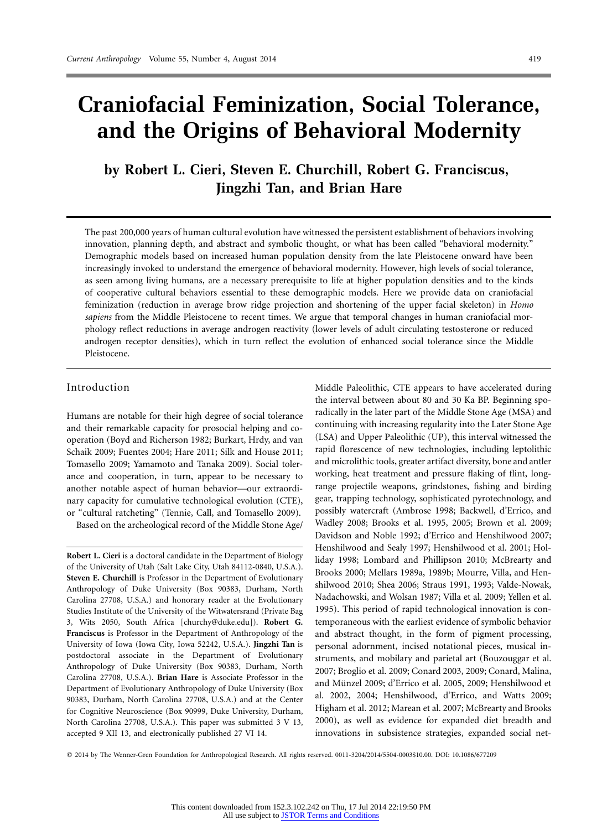# **Craniofacial Feminization, Social Tolerance, and the Origins of Behavioral Modernity**

**by Robert L. Cieri, Steven E. Churchill, Robert G. Franciscus, Jingzhi Tan, and Brian Hare**

The past 200,000 years of human cultural evolution have witnessed the persistent establishment of behaviors involving innovation, planning depth, and abstract and symbolic thought, or what has been called "behavioral modernity." Demographic models based on increased human population density from the late Pleistocene onward have been increasingly invoked to understand the emergence of behavioral modernity. However, high levels of social tolerance, as seen among living humans, are a necessary prerequisite to life at higher population densities and to the kinds of cooperative cultural behaviors essential to these demographic models. Here we provide data on craniofacial feminization (reduction in average brow ridge projection and shortening of the upper facial skeleton) in *Homo sapiens* from the Middle Pleistocene to recent times. We argue that temporal changes in human craniofacial morphology reflect reductions in average androgen reactivity (lower levels of adult circulating testosterone or reduced androgen receptor densities), which in turn reflect the evolution of enhanced social tolerance since the Middle Pleistocene.

### Introduction

Humans are notable for their high degree of social tolerance and their remarkable capacity for prosocial helping and cooperation (Boyd and Richerson 1982; Burkart, Hrdy, and van Schaik 2009; Fuentes 2004; Hare 2011; Silk and House 2011; Tomasello 2009; Yamamoto and Tanaka 2009). Social tolerance and cooperation, in turn, appear to be necessary to another notable aspect of human behavior—our extraordinary capacity for cumulative technological evolution (CTE), or "cultural ratcheting" (Tennie, Call, and Tomasello 2009).

Based on the archeological record of the Middle Stone Age/

**Robert L. Cieri** is a doctoral candidate in the Department of Biology of the University of Utah (Salt Lake City, Utah 84112-0840, U.S.A.). **Steven E. Churchill** is Professor in the Department of Evolutionary Anthropology of Duke University (Box 90383, Durham, North Carolina 27708, U.S.A.) and honorary reader at the Evolutionary Studies Institute of the University of the Witwatersrand (Private Bag 3, Wits 2050, South Africa [\[churchy@duke.edu\]](mailto:churchy@duke.edu)). **Robert G. Franciscus** is Professor in the Department of Anthropology of the University of Iowa (Iowa City, Iowa 52242, U.S.A.). **Jingzhi Tan** is postdoctoral associate in the Department of Evolutionary Anthropology of Duke University (Box 90383, Durham, North Carolina 27708, U.S.A.). **Brian Hare** is Associate Professor in the Department of Evolutionary Anthropology of Duke University (Box 90383, Durham, North Carolina 27708, U.S.A.) and at the Center for Cognitive Neuroscience (Box 90999, Duke University, Durham, North Carolina 27708, U.S.A.). This paper was submitted 3 V 13, accepted 9 XII 13, and electronically published 27 VI 14.

Middle Paleolithic, CTE appears to have accelerated during the interval between about 80 and 30 Ka BP. Beginning sporadically in the later part of the Middle Stone Age (MSA) and continuing with increasing regularity into the Later Stone Age (LSA) and Upper Paleolithic (UP), this interval witnessed the rapid florescence of new technologies, including leptolithic and microlithic tools, greater artifact diversity, bone and antler working, heat treatment and pressure flaking of flint, longrange projectile weapons, grindstones, fishing and birding gear, trapping technology, sophisticated pyrotechnology, and possibly watercraft (Ambrose 1998; Backwell, d'Errico, and Wadley 2008; Brooks et al. 1995, 2005; Brown et al. 2009; Davidson and Noble 1992; d'Errico and Henshilwood 2007; Henshilwood and Sealy 1997; Henshilwood et al. 2001; Holliday 1998; Lombard and Phillipson 2010; McBrearty and Brooks 2000; Mellars 1989a, 1989b; Mourre, Villa, and Henshilwood 2010; Shea 2006; Straus 1991, 1993; Valde-Nowak, Nadachowski, and Wolsan 1987; Villa et al. 2009; Yellen et al. 1995). This period of rapid technological innovation is contemporaneous with the earliest evidence of symbolic behavior and abstract thought, in the form of pigment processing, personal adornment, incised notational pieces, musical instruments, and mobilary and parietal art (Bouzouggar et al. 2007; Broglio et al. 2009; Conard 2003, 2009; Conard, Malina, and Münzel 2009; d'Errico et al. 2005, 2009; Henshilwood et al. 2002, 2004; Henshilwood, d'Errico, and Watts 2009; Higham et al. 2012; Marean et al. 2007; McBrearty and Brooks 2000), as well as evidence for expanded diet breadth and innovations in subsistence strategies, expanded social net-

- 2014 by The Wenner-Gren Foundation for Anthropological Research. All rights reserved. 0011-3204/2014/5504-0003\$10.00. DOI: 10.1086/677209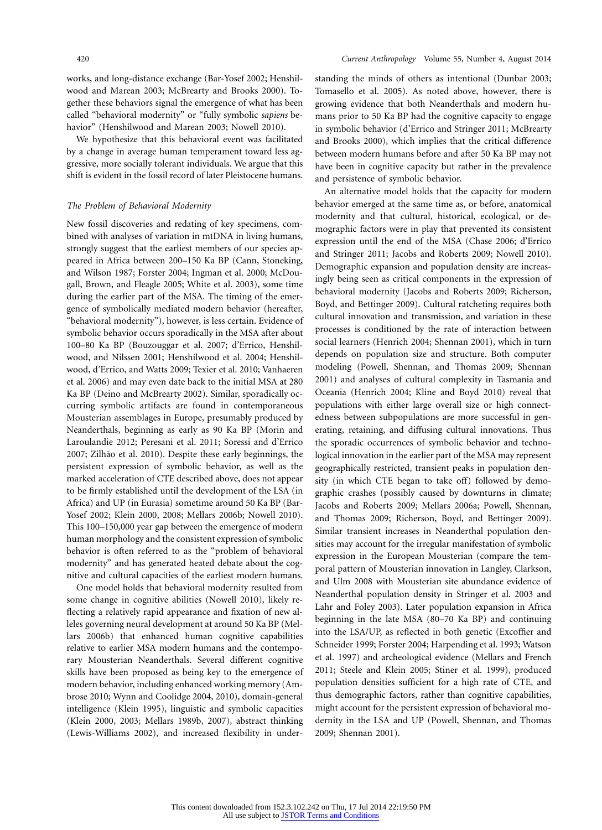works, and long-distance exchange (Bar-Yosef 2002; Henshilwood and Marean 2003; McBrearty and Brooks 2000). Together these behaviors signal the emergence of what has been called "behavioral modernity" or "fully symbolic *sapiens* behavior" (Henshilwood and Marean 2003; Nowell 2010).

We hypothesize that this behavioral event was facilitated by a change in average human temperament toward less aggressive, more socially tolerant individuals. We argue that this shift is evident in the fossil record of later Pleistocene humans.

### *The Problem of Behavioral Modernity*

New fossil discoveries and redating of key specimens, combined with analyses of variation in mtDNA in living humans, strongly suggest that the earliest members of our species appeared in Africa between 200–150 Ka BP (Cann, Stoneking, and Wilson 1987; Forster 2004; Ingman et al. 2000; McDougall, Brown, and Fleagle 2005; White et al. 2003), some time during the earlier part of the MSA. The timing of the emergence of symbolically mediated modern behavior (hereafter, "behavioral modernity"), however, is less certain. Evidence of symbolic behavior occurs sporadically in the MSA after about 100–80 Ka BP (Bouzouggar et al. 2007; d'Errico, Henshilwood, and Nilssen 2001; Henshilwood et al. 2004; Henshilwood, d'Errico, and Watts 2009; Texier et al. 2010; Vanhaeren et al. 2006) and may even date back to the initial MSA at 280 Ka BP (Deino and McBrearty 2002). Similar, sporadically occurring symbolic artifacts are found in contemporaneous Mousterian assemblages in Europe, presumably produced by Neanderthals, beginning as early as 90 Ka BP (Morin and Laroulandie 2012; Peresani et al. 2011; Soressi and d'Errico 2007; Zilhão et al. 2010). Despite these early beginnings, the persistent expression of symbolic behavior, as well as the marked acceleration of CTE described above, does not appear to be firmly established until the development of the LSA (in Africa) and UP (in Eurasia) sometime around 50 Ka BP (Bar-Yosef 2002; Klein 2000, 2008; Mellars 2006b; Nowell 2010). This 100–150,000 year gap between the emergence of modern human morphology and the consistent expression of symbolic behavior is often referred to as the "problem of behavioral modernity" and has generated heated debate about the cognitive and cultural capacities of the earliest modern humans.

One model holds that behavioral modernity resulted from some change in cognitive abilities (Nowell 2010), likely reflecting a relatively rapid appearance and fixation of new alleles governing neural development at around 50 Ka BP (Mellars 2006b) that enhanced human cognitive capabilities relative to earlier MSA modern humans and the contemporary Mousterian Neanderthals. Several different cognitive skills have been proposed as being key to the emergence of modern behavior, including enhanced working memory (Ambrose 2010; Wynn and Coolidge 2004, 2010), domain-general intelligence (Klein 1995), linguistic and symbolic capacities (Klein 2000, 2003; Mellars 1989b, 2007), abstract thinking (Lewis-Williams 2002), and increased flexibility in understanding the minds of others as intentional (Dunbar 2003; Tomasello et al. 2005). As noted above, however, there is growing evidence that both Neanderthals and modern humans prior to 50 Ka BP had the cognitive capacity to engage in symbolic behavior (d'Errico and Stringer 2011; McBrearty and Brooks 2000), which implies that the critical difference between modern humans before and after 50 Ka BP may not have been in cognitive capacity but rather in the prevalence and persistence of symbolic behavior.

An alternative model holds that the capacity for modern behavior emerged at the same time as, or before, anatomical modernity and that cultural, historical, ecological, or demographic factors were in play that prevented its consistent expression until the end of the MSA (Chase 2006; d'Errico and Stringer 2011; Jacobs and Roberts 2009; Nowell 2010). Demographic expansion and population density are increasingly being seen as critical components in the expression of behavioral modernity (Jacobs and Roberts 2009; Richerson, Boyd, and Bettinger 2009). Cultural ratcheting requires both cultural innovation and transmission, and variation in these processes is conditioned by the rate of interaction between social learners (Henrich 2004; Shennan 2001), which in turn depends on population size and structure. Both computer modeling (Powell, Shennan, and Thomas 2009; Shennan 2001) and analyses of cultural complexity in Tasmania and Oceania (Henrich 2004; Kline and Boyd 2010) reveal that populations with either large overall size or high connectedness between subpopulations are more successful in generating, retaining, and diffusing cultural innovations. Thus the sporadic occurrences of symbolic behavior and technological innovation in the earlier part of the MSA may represent geographically restricted, transient peaks in population density (in which CTE began to take off) followed by demographic crashes (possibly caused by downturns in climate; Jacobs and Roberts 2009; Mellars 2006a; Powell, Shennan, and Thomas 2009; Richerson, Boyd, and Bettinger 2009). Similar transient increases in Neanderthal population densities may account for the irregular manifestation of symbolic expression in the European Mousterian (compare the temporal pattern of Mousterian innovation in Langley, Clarkson, and Ulm 2008 with Mousterian site abundance evidence of Neanderthal population density in Stringer et al. 2003 and Lahr and Foley 2003). Later population expansion in Africa beginning in the late MSA (80–70 Ka BP) and continuing into the LSA/UP, as reflected in both genetic (Excoffier and Schneider 1999; Forster 2004; Harpending et al. 1993; Watson et al. 1997) and archeological evidence (Mellars and French 2011; Steele and Klein 2005; Stiner et al. 1999), produced population densities sufficient for a high rate of CTE, and thus demographic factors, rather than cognitive capabilities, might account for the persistent expression of behavioral modernity in the LSA and UP (Powell, Shennan, and Thomas 2009; Shennan 2001).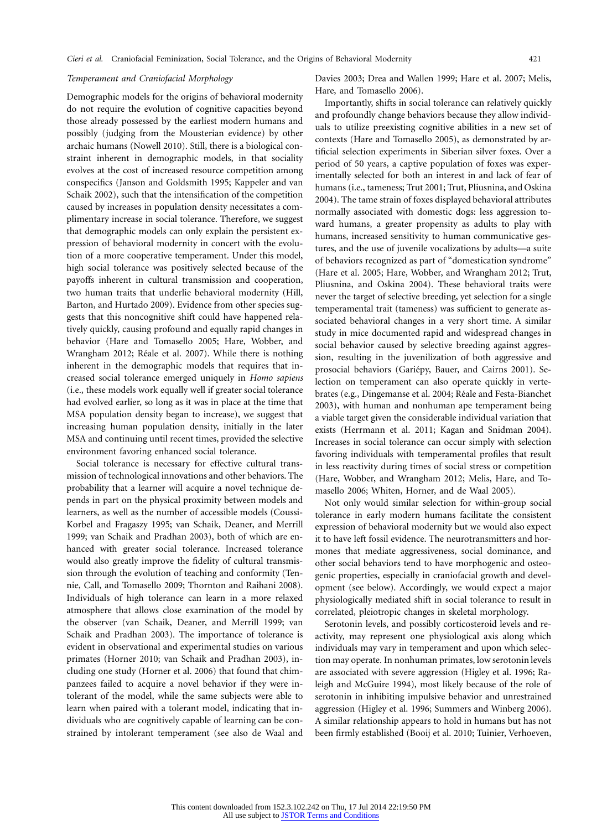### *Temperament and Craniofacial Morphology*

Demographic models for the origins of behavioral modernity do not require the evolution of cognitive capacities beyond those already possessed by the earliest modern humans and possibly (judging from the Mousterian evidence) by other archaic humans (Nowell 2010). Still, there is a biological constraint inherent in demographic models, in that sociality evolves at the cost of increased resource competition among conspecifics (Janson and Goldsmith 1995; Kappeler and van Schaik 2002), such that the intensification of the competition caused by increases in population density necessitates a complimentary increase in social tolerance. Therefore, we suggest that demographic models can only explain the persistent expression of behavioral modernity in concert with the evolution of a more cooperative temperament. Under this model, high social tolerance was positively selected because of the payoffs inherent in cultural transmission and cooperation, two human traits that underlie behavioral modernity (Hill, Barton, and Hurtado 2009). Evidence from other species suggests that this noncognitive shift could have happened relatively quickly, causing profound and equally rapid changes in behavior (Hare and Tomasello 2005; Hare, Wobber, and Wrangham 2012; Réale et al. 2007). While there is nothing inherent in the demographic models that requires that increased social tolerance emerged uniquely in *Homo sapiens* (i.e., these models work equally well if greater social tolerance had evolved earlier, so long as it was in place at the time that MSA population density began to increase), we suggest that increasing human population density, initially in the later MSA and continuing until recent times, provided the selective environment favoring enhanced social tolerance.

Social tolerance is necessary for effective cultural transmission of technological innovations and other behaviors. The probability that a learner will acquire a novel technique depends in part on the physical proximity between models and learners, as well as the number of accessible models (Coussi-Korbel and Fragaszy 1995; van Schaik, Deaner, and Merrill 1999; van Schaik and Pradhan 2003), both of which are enhanced with greater social tolerance. Increased tolerance would also greatly improve the fidelity of cultural transmission through the evolution of teaching and conformity (Tennie, Call, and Tomasello 2009; Thornton and Raihani 2008). Individuals of high tolerance can learn in a more relaxed atmosphere that allows close examination of the model by the observer (van Schaik, Deaner, and Merrill 1999; van Schaik and Pradhan 2003). The importance of tolerance is evident in observational and experimental studies on various primates (Horner 2010; van Schaik and Pradhan 2003), including one study (Horner et al. 2006) that found that chimpanzees failed to acquire a novel behavior if they were intolerant of the model, while the same subjects were able to learn when paired with a tolerant model, indicating that individuals who are cognitively capable of learning can be constrained by intolerant temperament (see also de Waal and

Davies 2003; Drea and Wallen 1999; Hare et al. 2007; Melis, Hare, and Tomasello 2006).

Importantly, shifts in social tolerance can relatively quickly and profoundly change behaviors because they allow individuals to utilize preexisting cognitive abilities in a new set of contexts (Hare and Tomasello 2005), as demonstrated by artificial selection experiments in Siberian silver foxes. Over a period of 50 years, a captive population of foxes was experimentally selected for both an interest in and lack of fear of humans (i.e., tameness; Trut 2001; Trut, Pliusnina, and Oskina 2004). The tame strain of foxes displayed behavioral attributes normally associated with domestic dogs: less aggression toward humans, a greater propensity as adults to play with humans, increased sensitivity to human communicative gestures, and the use of juvenile vocalizations by adults—a suite of behaviors recognized as part of "domestication syndrome" (Hare et al. 2005; Hare, Wobber, and Wrangham 2012; Trut, Pliusnina, and Oskina 2004). These behavioral traits were never the target of selective breeding, yet selection for a single temperamental trait (tameness) was sufficient to generate associated behavioral changes in a very short time. A similar study in mice documented rapid and widespread changes in social behavior caused by selective breeding against aggression, resulting in the juvenilization of both aggressive and prosocial behaviors (Gariépy, Bauer, and Cairns 2001). Selection on temperament can also operate quickly in vertebrates (e.g., Dingemanse et al. 2004; Réale and Festa-Bianchet 2003), with human and nonhuman ape temperament being a viable target given the considerable individual variation that exists (Herrmann et al. 2011; Kagan and Snidman 2004). Increases in social tolerance can occur simply with selection favoring individuals with temperamental profiles that result in less reactivity during times of social stress or competition (Hare, Wobber, and Wrangham 2012; Melis, Hare, and Tomasello 2006; Whiten, Horner, and de Waal 2005).

Not only would similar selection for within-group social tolerance in early modern humans facilitate the consistent expression of behavioral modernity but we would also expect it to have left fossil evidence. The neurotransmitters and hormones that mediate aggressiveness, social dominance, and other social behaviors tend to have morphogenic and osteogenic properties, especially in craniofacial growth and development (see below). Accordingly, we would expect a major physiologically mediated shift in social tolerance to result in correlated, pleiotropic changes in skeletal morphology.

Serotonin levels, and possibly corticosteroid levels and reactivity, may represent one physiological axis along which individuals may vary in temperament and upon which selection may operate. In nonhuman primates, low serotonin levels are associated with severe aggression (Higley et al. 1996; Raleigh and McGuire 1994), most likely because of the role of serotonin in inhibiting impulsive behavior and unrestrained aggression (Higley et al. 1996; Summers and Winberg 2006). A similar relationship appears to hold in humans but has not been firmly established (Booij et al. 2010; Tuinier, Verhoeven,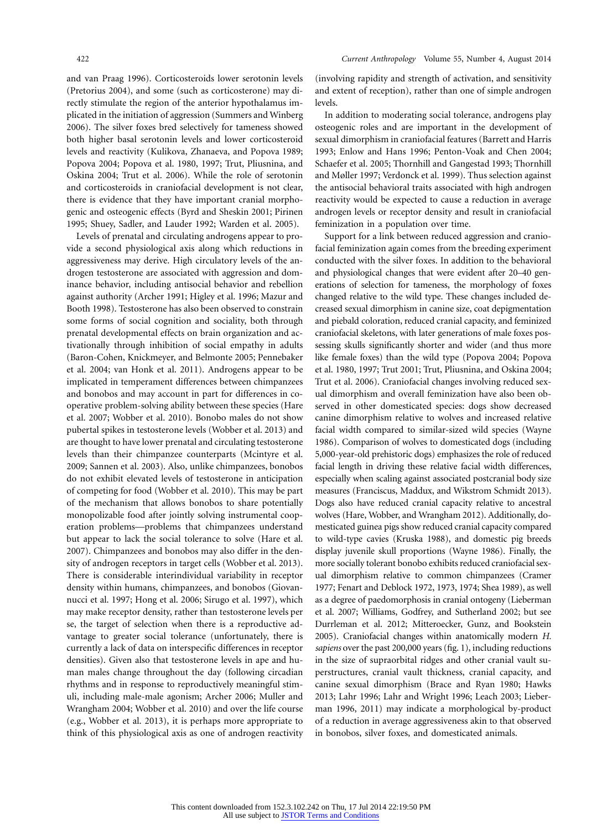and van Praag 1996). Corticosteroids lower serotonin levels (Pretorius 2004), and some (such as corticosterone) may directly stimulate the region of the anterior hypothalamus implicated in the initiation of aggression (Summers and Winberg 2006). The silver foxes bred selectively for tameness showed both higher basal serotonin levels and lower corticosteroid levels and reactivity (Kulikova, Zhanaeva, and Popova 1989; Popova 2004; Popova et al. 1980, 1997; Trut, Pliusnina, and Oskina 2004; Trut et al. 2006). While the role of serotonin and corticosteroids in craniofacial development is not clear, there is evidence that they have important cranial morphogenic and osteogenic effects (Byrd and Sheskin 2001; Pirinen 1995; Shuey, Sadler, and Lauder 1992; Warden et al. 2005).

Levels of prenatal and circulating androgens appear to provide a second physiological axis along which reductions in aggressiveness may derive. High circulatory levels of the androgen testosterone are associated with aggression and dominance behavior, including antisocial behavior and rebellion against authority (Archer 1991; Higley et al. 1996; Mazur and Booth 1998). Testosterone has also been observed to constrain some forms of social cognition and sociality, both through prenatal developmental effects on brain organization and activationally through inhibition of social empathy in adults (Baron-Cohen, Knickmeyer, and Belmonte 2005; Pennebaker et al. 2004; van Honk et al. 2011). Androgens appear to be implicated in temperament differences between chimpanzees and bonobos and may account in part for differences in cooperative problem-solving ability between these species (Hare et al. 2007; Wobber et al. 2010). Bonobo males do not show pubertal spikes in testosterone levels (Wobber et al. 2013) and are thought to have lower prenatal and circulating testosterone levels than their chimpanzee counterparts (Mcintyre et al. 2009; Sannen et al. 2003). Also, unlike chimpanzees, bonobos do not exhibit elevated levels of testosterone in anticipation of competing for food (Wobber et al. 2010). This may be part of the mechanism that allows bonobos to share potentially monopolizable food after jointly solving instrumental cooperation problems—problems that chimpanzees understand but appear to lack the social tolerance to solve (Hare et al. 2007). Chimpanzees and bonobos may also differ in the density of androgen receptors in target cells (Wobber et al. 2013). There is considerable interindividual variability in receptor density within humans, chimpanzees, and bonobos (Giovannucci et al. 1997; Hong et al. 2006; Sirugo et al. 1997), which may make receptor density, rather than testosterone levels per se, the target of selection when there is a reproductive advantage to greater social tolerance (unfortunately, there is currently a lack of data on interspecific differences in receptor densities). Given also that testosterone levels in ape and human males change throughout the day (following circadian rhythms and in response to reproductively meaningful stimuli, including male-male agonism; Archer 2006; Muller and Wrangham 2004; Wobber et al. 2010) and over the life course (e.g., Wobber et al. 2013), it is perhaps more appropriate to think of this physiological axis as one of androgen reactivity (involving rapidity and strength of activation, and sensitivity and extent of reception), rather than one of simple androgen levels.

In addition to moderating social tolerance, androgens play osteogenic roles and are important in the development of sexual dimorphism in craniofacial features (Barrett and Harris 1993; Enlow and Hans 1996; Penton-Voak and Chen 2004; Schaefer et al. 2005; Thornhill and Gangestad 1993; Thornhill and Møller 1997; Verdonck et al. 1999). Thus selection against the antisocial behavioral traits associated with high androgen reactivity would be expected to cause a reduction in average androgen levels or receptor density and result in craniofacial feminization in a population over time.

Support for a link between reduced aggression and craniofacial feminization again comes from the breeding experiment conducted with the silver foxes. In addition to the behavioral and physiological changes that were evident after 20–40 generations of selection for tameness, the morphology of foxes changed relative to the wild type. These changes included decreased sexual dimorphism in canine size, coat depigmentation and piebald coloration, reduced cranial capacity, and feminized craniofacial skeletons, with later generations of male foxes possessing skulls significantly shorter and wider (and thus more like female foxes) than the wild type (Popova 2004; Popova et al. 1980, 1997; Trut 2001; Trut, Pliusnina, and Oskina 2004; Trut et al. 2006). Craniofacial changes involving reduced sexual dimorphism and overall feminization have also been observed in other domesticated species: dogs show decreased canine dimorphism relative to wolves and increased relative facial width compared to similar-sized wild species (Wayne 1986). Comparison of wolves to domesticated dogs (including 5,000-year-old prehistoric dogs) emphasizes the role of reduced facial length in driving these relative facial width differences, especially when scaling against associated postcranial body size measures (Franciscus, Maddux, and Wikstrom Schmidt 2013). Dogs also have reduced cranial capacity relative to ancestral wolves (Hare, Wobber, and Wrangham 2012). Additionally, domesticated guinea pigs show reduced cranial capacity compared to wild-type cavies (Kruska 1988), and domestic pig breeds display juvenile skull proportions (Wayne 1986). Finally, the more socially tolerant bonobo exhibits reduced craniofacial sexual dimorphism relative to common chimpanzees (Cramer 1977; Fenart and Deblock 1972, 1973, 1974; Shea 1989), as well as a degree of paedomorphosis in cranial ontogeny (Lieberman et al. 2007; Williams, Godfrey, and Sutherland 2002; but see Durrleman et al. 2012; Mitteroecker, Gunz, and Bookstein 2005). Craniofacial changes within anatomically modern *H. sapiens* over the past 200,000 years (fig. 1), including reductions in the size of supraorbital ridges and other cranial vault superstructures, cranial vault thickness, cranial capacity, and canine sexual dimorphism (Brace and Ryan 1980; Hawks 2013; Lahr 1996; Lahr and Wright 1996; Leach 2003; Lieberman 1996, 2011) may indicate a morphological by-product of a reduction in average aggressiveness akin to that observed in bonobos, silver foxes, and domesticated animals.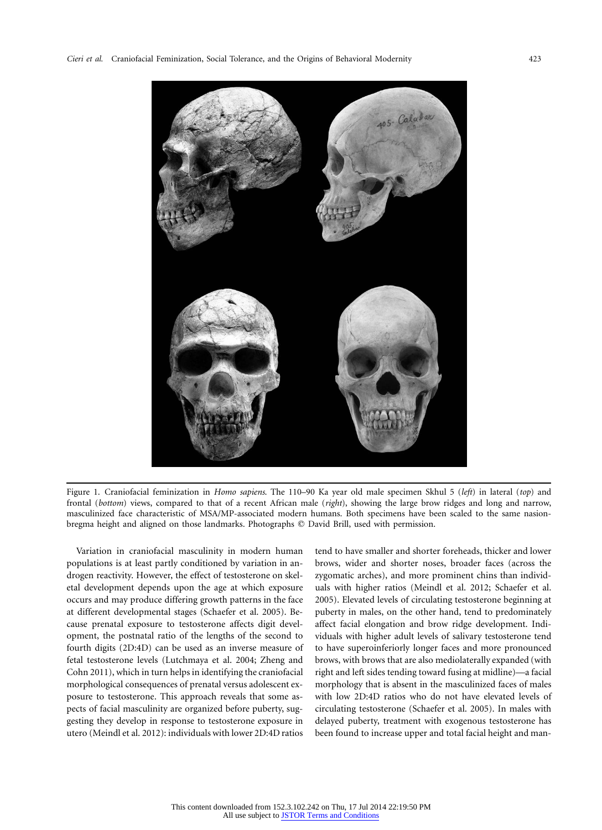

Figure 1. Craniofacial feminization in *Homo sapiens*. The 110–90 Ka year old male specimen Skhul 5 (*left*) in lateral (*top*) and frontal (*bottom*) views, compared to that of a recent African male (*right*), showing the large brow ridges and long and narrow, masculinized face characteristic of MSA/MP-associated modern humans. Both specimens have been scaled to the same nasionbregma height and aligned on those landmarks. Photographs © David Brill, used with permission.

Variation in craniofacial masculinity in modern human populations is at least partly conditioned by variation in androgen reactivity. However, the effect of testosterone on skeletal development depends upon the age at which exposure occurs and may produce differing growth patterns in the face at different developmental stages (Schaefer et al. 2005). Because prenatal exposure to testosterone affects digit development, the postnatal ratio of the lengths of the second to fourth digits (2D:4D) can be used as an inverse measure of fetal testosterone levels (Lutchmaya et al. 2004; Zheng and Cohn 2011), which in turn helps in identifying the craniofacial morphological consequences of prenatal versus adolescent exposure to testosterone. This approach reveals that some aspects of facial masculinity are organized before puberty, suggesting they develop in response to testosterone exposure in utero (Meindl et al. 2012): individuals with lower 2D:4D ratios

tend to have smaller and shorter foreheads, thicker and lower brows, wider and shorter noses, broader faces (across the zygomatic arches), and more prominent chins than individuals with higher ratios (Meindl et al. 2012; Schaefer et al. 2005). Elevated levels of circulating testosterone beginning at puberty in males, on the other hand, tend to predominately affect facial elongation and brow ridge development. Individuals with higher adult levels of salivary testosterone tend to have superoinferiorly longer faces and more pronounced brows, with brows that are also mediolaterally expanded (with right and left sides tending toward fusing at midline)—a facial morphology that is absent in the masculinized faces of males with low 2D:4D ratios who do not have elevated levels of circulating testosterone (Schaefer et al. 2005). In males with delayed puberty, treatment with exogenous testosterone has been found to increase upper and total facial height and man-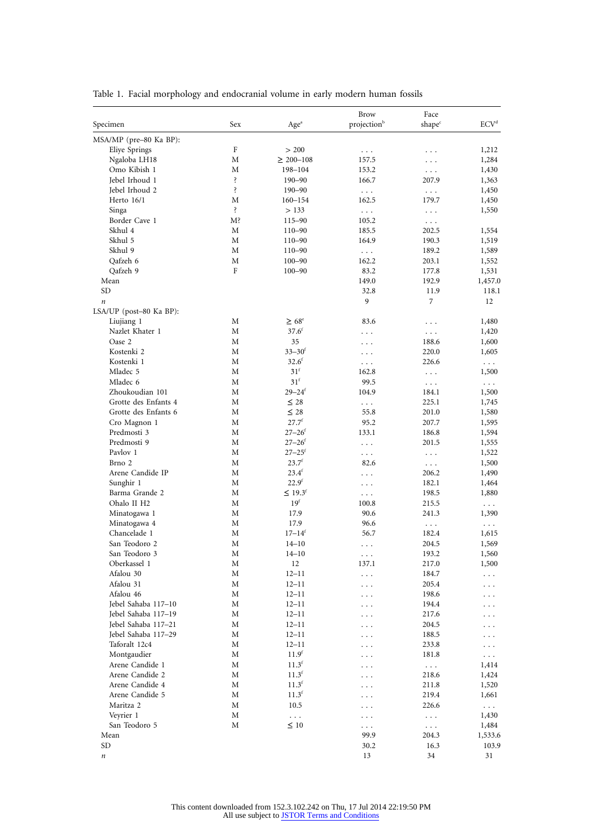| Specimen                                | Sex     | Age <sup>a</sup>        | <b>Brow</b><br>projection <sup>b</sup> | Face<br>shape <sup>c</sup> | $\ensuremath{\mathrm{ECV}^{\mathrm{d}}}$ |
|-----------------------------------------|---------|-------------------------|----------------------------------------|----------------------------|------------------------------------------|
|                                         |         |                         |                                        |                            |                                          |
| MSA/MP (pre-80 Ka BP):<br>Eliye Springs | $\rm F$ | > 200                   |                                        |                            | 1,212                                    |
| Ngaloba LH18                            | М       | $\geq 200 - 108$        | $\ldots$<br>157.5                      | .                          | 1,284                                    |
| Omo Kibish 1                            | М       | 198-104                 | 153.2                                  | .<br>$\ldots$              | 1,430                                    |
| Jebel Irhoud 1                          | ś.      | $190 - 90$              | 166.7                                  | 207.9                      | 1,363                                    |
| Jebel Irhoud 2                          | Ŝ.      | $190 - 90$              | $\ldots$                               | $\ldots$                   | 1,450                                    |
| Herto $16/1$                            | М       | $160 - 154$             | 162.5                                  | 179.7                      | 1,450                                    |
| Singa                                   | ś.      | > 133                   | $\cdots$                               | $\ddotsc$                  | 1,550                                    |
| Border Cave 1                           | M?      | 115-90                  | 105.2                                  | $\ldots$                   |                                          |
| Skhul 4                                 | М       | $110 - 90$              | 185.5                                  | 202.5                      | 1,554                                    |
| Skhul 5                                 | М       | $110 - 90$              | 164.9                                  | 190.3                      | 1,519                                    |
| Skhul 9                                 | M       | $110 - 90$              | $\ddots$                               | 189.2                      | 1,589                                    |
| Qafzeh 6                                | М       | $100 - 90$              | 162.2                                  | 203.1                      | 1,552                                    |
| Qafzeh 9                                | F       | $100 - 90$              | 83.2                                   | 177.8                      | 1,531                                    |
| Mean                                    |         |                         | 149.0                                  | 192.9                      | 1,457.0                                  |
| <b>SD</b>                               |         |                         | 32.8                                   | 11.9                       | 118.1                                    |
| $\it n$                                 |         |                         | 9                                      | 7                          | 12                                       |
| LSA/UP (post-80 Ka BP):                 |         |                         |                                        |                            |                                          |
| Liujiang 1                              | М       | $\geq 68^{\circ}$       | 83.6                                   |                            | 1,480                                    |
| Nazlet Khater 1                         | М       | $37.6^f$                |                                        | .                          | 1,420                                    |
| Oase 2                                  | М       | 35                      | $\ddotsc$                              | $\ddotsc$<br>188.6         | 1,600                                    |
| Kostenki 2                              | М       | $33 - 30$ <sup>f</sup>  | .                                      | 220.0                      | 1,605                                    |
| Kostenki 1                              | M       | 32.6 <sup>f</sup>       | $\ddotsc$                              | 226.6                      |                                          |
| Mladec 5                                |         | 31 <sup>f</sup>         | $\ldots$                               |                            | $\sim$ $\sim$ $\sim$                     |
|                                         | М<br>М  | 31 <sup>f</sup>         | 162.8<br>99.5                          | $\ldots$                   | 1,500                                    |
| Mladec 6<br>Zhoukoudian 101             |         |                         |                                        | $\sim$ $\sim$ $\sim$       | $\ldots$ .                               |
|                                         | M       | $29 - 24$ <sup>f</sup>  | 104.9                                  | 184.1                      | 1,500                                    |
| Grotte des Enfants 4                    | М       | $\leq 28$               | $\cdots$                               | 225.1                      | 1,745                                    |
| Grotte des Enfants 6                    | М       | $\leq 28$<br>$27.7^{f}$ | 55.8                                   | 201.0                      | 1,580                                    |
| Cro Magnon 1                            | М       |                         | 95.2                                   | 207.7                      | 1,595                                    |
| Predmosti 3                             | М       | $27 - 26$ <sup>f</sup>  | 133.1                                  | 186.8                      | 1,594                                    |
| Predmosti 9                             | М       | $27 - 26$ <sup>f</sup>  | $\cdots$                               | 201.5                      | 1,555                                    |
| Pavlov 1                                | М       | $27 - 25$ <sup>f</sup>  | $\cdots$                               | $\ddotsc$                  | 1,522                                    |
| Brno 2                                  | М       | $23.7^{f}$              | 82.6                                   | $\ldots$                   | 1,500                                    |
| Arene Candide IP                        | M       | 23.4 <sup>f</sup>       | $\cdots$                               | 206.2                      | 1,490                                    |
| Sunghir 1                               | М       | 22.9 <sup>f</sup>       | $\ldots$                               | 182.1                      | 1,464                                    |
| Barma Grande 2                          | М       | ≤ 19.3 <sup>f</sup>     | $\cdots$                               | 198.5                      | 1,880                                    |
| Ohalo II H <sub>2</sub>                 | M       | 19 <sup>f</sup>         | 100.8                                  | 215.5                      | $\sim$ $\sim$                            |
| Minatogawa 1                            | М       | 17.9                    | 90.6                                   | 241.3                      | 1,390                                    |
| Minatogawa 4                            | М       | 17.9                    | 96.6                                   | $\ldots$ .                 | $\cdots$                                 |
| Chancelade 1                            | М       | $17 - 14$ <sup>f</sup>  | 56.7                                   | 182.4                      | 1,615                                    |
| San Teodoro 2                           | М       | $14 - 10$               | .                                      | 204.5                      | 1,569                                    |
| San Teodoro 3                           | М       | $14 - 10$               | .                                      | 193.2                      | 1,560                                    |
| Oberkassel 1                            | Μ       | 12                      | 137.1                                  | 217.0                      | 1,500                                    |
| Afalou 30                               | М       | $12 - 11$               | $\ddotsc$                              | 184.7                      | .                                        |
| Afalou 31                               | М       | $12 - 11$               |                                        | 205.4                      | . .                                      |
| Afalou 46                               | М       | $12 - 11$               |                                        | 198.6                      | $\ddot{\phantom{0}}$                     |
| Jebel Sahaba 117-10                     | М       | $12 - 11$               |                                        | 194.4                      |                                          |
| Jebel Sahaba 117-19                     | М       | $12 - 11$               |                                        | 217.6                      |                                          |
| Jebel Sahaba 117-21                     | М       | $12 - 11$               |                                        | 204.5                      |                                          |
| Jebel Sahaba 117-29                     | М       | $12 - 11$               |                                        | 188.5                      |                                          |
| Taforalt 12c4                           | Μ       | $12 - 11$               |                                        | 233.8                      | .                                        |
| Montgaudier                             | Μ       | 11.9 <sup>f</sup>       |                                        | 181.8                      | $\cdots$                                 |
| Arene Candide 1                         | М       | $11.3^f$                |                                        | $\sim$ $\sim$ $\sim$       | 1,414                                    |
| Arene Candide 2                         | М       | $11.3^f$                |                                        | 218.6                      | 1,424                                    |
| Arene Candide 4                         | Μ       | $11.3^{\circ}$          |                                        | 211.8                      | 1,520                                    |
| Arene Candide 5                         | М       | $11.3^f$                |                                        | 219.4                      | 1,661                                    |
| Maritza 2                               | Μ       | 10.5                    |                                        | 226.6                      | $\ldots$                                 |
| Veyrier 1                               | Μ       | $\ldots$                | .                                      | $\cdots$                   | 1,430                                    |
| San Teodoro 5                           | М       | $\leq 10$               | $\ddots$                               | $\ldots$ .                 | 1,484                                    |
| Mean                                    |         |                         | 99.9                                   | 204.3                      | 1,533.6                                  |
| SD                                      |         |                         | 30.2                                   | 16.3                       | 103.9                                    |
| $\boldsymbol{n}$                        |         |                         | 13                                     | 34                         | 31                                       |

Table 1. Facial morphology and endocranial volume in early modern human fossils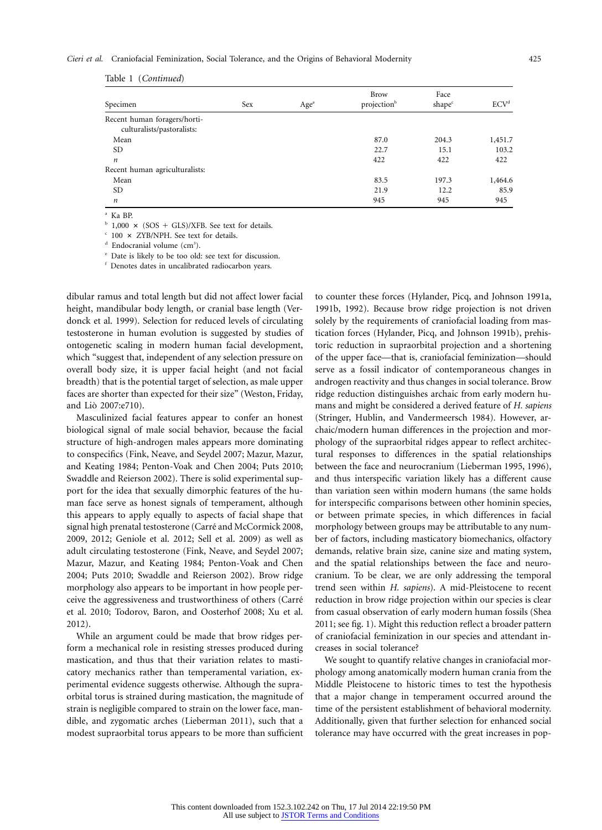### *Cieri et al.* Craniofacial Feminization, Social Tolerance, and the Origins of Behavioral Modernity 425

| Specimen                       | <b>Sex</b> | Age <sup>a</sup> | <b>Brow</b><br>projection <sup>b</sup> | Face<br>shape <sup>c</sup> | ECV <sup>d</sup> |
|--------------------------------|------------|------------------|----------------------------------------|----------------------------|------------------|
| Recent human foragers/horti-   |            |                  |                                        |                            |                  |
| culturalists/pastoralists:     |            |                  |                                        |                            |                  |
| Mean                           |            |                  | 87.0                                   | 204.3                      | 1,451.7          |
| <b>SD</b>                      |            |                  | 22.7                                   | 15.1                       | 103.2            |
| $\boldsymbol{n}$               |            |                  | 422                                    | 422                        | 422              |
| Recent human agriculturalists: |            |                  |                                        |                            |                  |
| Mean                           |            |                  | 83.5                                   | 197.3                      | 1,464.6          |
| SD.                            |            |                  | 21.9                                   | 12.2                       | 85.9             |
| $\boldsymbol{n}$               |            |                  | 945                                    | 945                        | 945              |

Table 1 (*Continued*)

<sup>a</sup> Ka BP.

 $b$  1,000  $\times$  (SOS + GLS)/XFB. See text for details.

 $\degree$  100  $\times$  ZYB/NPH. See text for details.

<sup>d</sup> Endocranial volume (cm<sup>3</sup>).

<sup>e</sup> Date is likely to be too old: see text for discussion.

<sup>f</sup> Denotes dates in uncalibrated radiocarbon years.

dibular ramus and total length but did not affect lower facial height, mandibular body length, or cranial base length (Verdonck et al. 1999). Selection for reduced levels of circulating testosterone in human evolution is suggested by studies of ontogenetic scaling in modern human facial development, which "suggest that, independent of any selection pressure on overall body size, it is upper facial height (and not facial breadth) that is the potential target of selection, as male upper faces are shorter than expected for their size" (Weston, Friday, and Lio` 2007:e710).

Masculinized facial features appear to confer an honest biological signal of male social behavior, because the facial structure of high-androgen males appears more dominating to conspecifics (Fink, Neave, and Seydel 2007; Mazur, Mazur, and Keating 1984; Penton-Voak and Chen 2004; Puts 2010; Swaddle and Reierson 2002). There is solid experimental support for the idea that sexually dimorphic features of the human face serve as honest signals of temperament, although this appears to apply equally to aspects of facial shape that signal high prenatal testosterone (Carré and McCormick 2008, 2009, 2012; Geniole et al. 2012; Sell et al. 2009) as well as adult circulating testosterone (Fink, Neave, and Seydel 2007; Mazur, Mazur, and Keating 1984; Penton-Voak and Chen 2004; Puts 2010; Swaddle and Reierson 2002). Brow ridge morphology also appears to be important in how people perceive the aggressiveness and trustworthiness of others (Carre´ et al. 2010; Todorov, Baron, and Oosterhof 2008; Xu et al. 2012).

While an argument could be made that brow ridges perform a mechanical role in resisting stresses produced during mastication, and thus that their variation relates to masticatory mechanics rather than temperamental variation, experimental evidence suggests otherwise. Although the supraorbital torus is strained during mastication, the magnitude of strain is negligible compared to strain on the lower face, mandible, and zygomatic arches (Lieberman 2011), such that a modest supraorbital torus appears to be more than sufficient

to counter these forces (Hylander, Picq, and Johnson 1991a, 1991b, 1992). Because brow ridge projection is not driven solely by the requirements of craniofacial loading from mastication forces (Hylander, Picq, and Johnson 1991b), prehistoric reduction in supraorbital projection and a shortening of the upper face—that is, craniofacial feminization—should serve as a fossil indicator of contemporaneous changes in androgen reactivity and thus changes in social tolerance. Brow ridge reduction distinguishes archaic from early modern humans and might be considered a derived feature of *H. sapiens* (Stringer, Hublin, and Vandermeersch 1984). However, archaic/modern human differences in the projection and morphology of the supraorbital ridges appear to reflect architectural responses to differences in the spatial relationships between the face and neurocranium (Lieberman 1995, 1996), and thus interspecific variation likely has a different cause than variation seen within modern humans (the same holds for interspecific comparisons between other hominin species, or between primate species, in which differences in facial morphology between groups may be attributable to any number of factors, including masticatory biomechanics, olfactory demands, relative brain size, canine size and mating system, and the spatial relationships between the face and neurocranium. To be clear, we are only addressing the temporal trend seen within *H. sapiens*). A mid-Pleistocene to recent reduction in brow ridge projection within our species is clear from casual observation of early modern human fossils (Shea 2011; see fig. 1). Might this reduction reflect a broader pattern of craniofacial feminization in our species and attendant increases in social tolerance?

We sought to quantify relative changes in craniofacial morphology among anatomically modern human crania from the Middle Pleistocene to historic times to test the hypothesis that a major change in temperament occurred around the time of the persistent establishment of behavioral modernity. Additionally, given that further selection for enhanced social tolerance may have occurred with the great increases in pop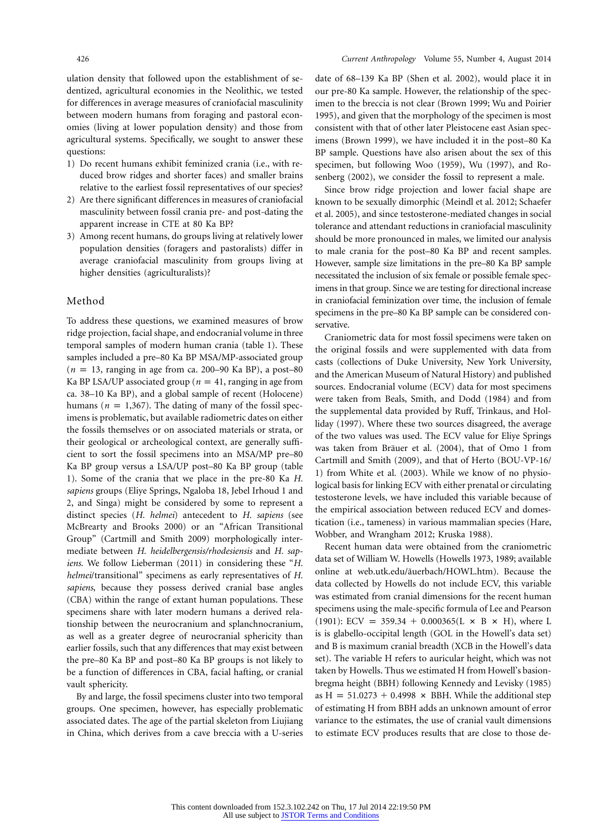ulation density that followed upon the establishment of sedentized, agricultural economies in the Neolithic, we tested for differences in average measures of craniofacial masculinity between modern humans from foraging and pastoral economies (living at lower population density) and those from agricultural systems. Specifically, we sought to answer these questions:

- 1) Do recent humans exhibit feminized crania (i.e., with reduced brow ridges and shorter faces) and smaller brains relative to the earliest fossil representatives of our species?
- 2) Are there significant differences in measures of craniofacial masculinity between fossil crania pre- and post-dating the apparent increase in CTE at 80 Ka BP?
- 3) Among recent humans, do groups living at relatively lower population densities (foragers and pastoralists) differ in average craniofacial masculinity from groups living at higher densities (agriculturalists)?

### Method

To address these questions, we examined measures of brow ridge projection, facial shape, and endocranial volume in three temporal samples of modern human crania (table 1). These samples included a pre–80 Ka BP MSA/MP-associated group  $(n = 13$ , ranging in age from ca. 200–90 Ka BP), a post–80 Ka BP LSA/UP associated group ( $n = 41$ , ranging in age from ca. 38–10 Ka BP), and a global sample of recent (Holocene) humans ( $n = 1,367$ ). The dating of many of the fossil specimens is problematic, but available radiometric dates on either the fossils themselves or on associated materials or strata, or their geological or archeological context, are generally sufficient to sort the fossil specimens into an MSA/MP pre–80 Ka BP group versus a LSA/UP post–80 Ka BP group (table 1). Some of the crania that we place in the pre-80 Ka *H. sapiens* groups (Eliye Springs, Ngaloba 18, Jebel Irhoud 1 and 2, and Singa) might be considered by some to represent a distinct species (*H. helmei*) antecedent to *H. sapiens* (see McBrearty and Brooks 2000) or an "African Transitional Group" (Cartmill and Smith 2009) morphologically intermediate between *H. heidelbergensis/rhodesiensis* and *H. sapiens*. We follow Lieberman (2011) in considering these "*H. helmei*/transitional" specimens as early representatives of *H. sapiens*, because they possess derived cranial base angles (CBA) within the range of extant human populations. These specimens share with later modern humans a derived relationship between the neurocranium and splanchnocranium, as well as a greater degree of neurocranial sphericity than earlier fossils, such that any differences that may exist between the pre–80 Ka BP and post–80 Ka BP groups is not likely to be a function of differences in CBA, facial hafting, or cranial vault sphericity.

By and large, the fossil specimens cluster into two temporal groups. One specimen, however, has especially problematic associated dates. The age of the partial skeleton from Liujiang in China, which derives from a cave breccia with a U-series date of 68–139 Ka BP (Shen et al. 2002), would place it in our pre-80 Ka sample. However, the relationship of the specimen to the breccia is not clear (Brown 1999; Wu and Poirier 1995), and given that the morphology of the specimen is most consistent with that of other later Pleistocene east Asian specimens (Brown 1999), we have included it in the post–80 Ka BP sample. Questions have also arisen about the sex of this specimen, but following Woo (1959), Wu (1997), and Rosenberg (2002), we consider the fossil to represent a male.

Since brow ridge projection and lower facial shape are known to be sexually dimorphic (Meindl et al. 2012; Schaefer et al. 2005), and since testosterone-mediated changes in social tolerance and attendant reductions in craniofacial masculinity should be more pronounced in males, we limited our analysis to male crania for the post–80 Ka BP and recent samples. However, sample size limitations in the pre–80 Ka BP sample necessitated the inclusion of six female or possible female specimens in that group. Since we are testing for directional increase in craniofacial feminization over time, the inclusion of female specimens in the pre–80 Ka BP sample can be considered conservative.

Craniometric data for most fossil specimens were taken on the original fossils and were supplemented with data from casts (collections of Duke University, New York University, and the American Museum of Natural History) and published sources. Endocranial volume (ECV) data for most specimens were taken from Beals, Smith, and Dodd (1984) and from the supplemental data provided by Ruff, Trinkaus, and Holliday (1997). Where these two sources disagreed, the average of the two values was used. The ECV value for Eliye Springs was taken from Bräuer et al. (2004), that of Omo 1 from Cartmill and Smith (2009), and that of Herto (BOU-VP-16/ 1) from White et al. (2003). While we know of no physiological basis for linking ECV with either prenatal or circulating testosterone levels, we have included this variable because of the empirical association between reduced ECV and domestication (i.e., tameness) in various mammalian species (Hare, Wobber, and Wrangham 2012; Kruska 1988).

Recent human data were obtained from the craniometric data set of William W. Howells (Howells 1973, 1989; available online at web.utk.edu/ãuerbach/HOWL.htm). Because the data collected by Howells do not include ECV, this variable was estimated from cranial dimensions for the recent human specimens using the male-specific formula of Lee and Pearson (1901): ECV = 359.34 + 0.000365(L  $\times$  B  $\times$  H), where L is is glabello-occipital length (GOL in the Howell's data set) and B is maximum cranial breadth (XCB in the Howell's data set). The variable H refers to auricular height, which was not taken by Howells. Thus we estimated H from Howell's basionbregma height (BBH) following Kennedy and Levisky (1985) as  $H = 51.0273 + 0.4998 \times BBH$ . While the additional step of estimating H from BBH adds an unknown amount of error variance to the estimates, the use of cranial vault dimensions to estimate ECV produces results that are close to those de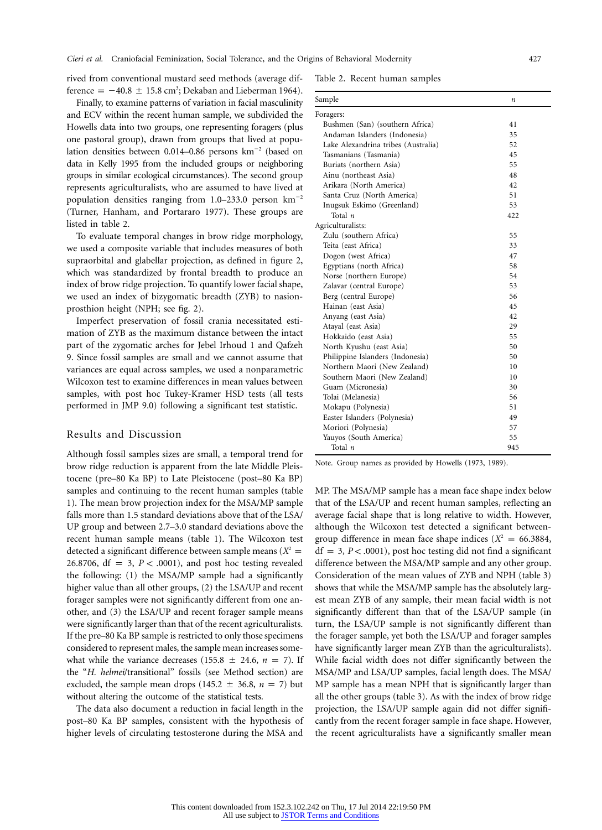rived from conventional mustard seed methods (average difference =  $-40.8 \pm 15.8 \text{ cm}^3$ ; Dekaban and Lieberman 1964).

Finally, to examine patterns of variation in facial masculinity and ECV within the recent human sample, we subdivided the Howells data into two groups, one representing foragers (plus one pastoral group), drawn from groups that lived at population densities between 0.014–0.86 persons  $km^{-2}$  (based on data in Kelly 1995 from the included groups or neighboring groups in similar ecological circumstances). The second group represents agriculturalists, who are assumed to have lived at population densities ranging from  $1.0-233.0$  person  $km^{-2}$ (Turner, Hanham, and Portararo 1977). These groups are listed in table 2.

To evaluate temporal changes in brow ridge morphology, we used a composite variable that includes measures of both supraorbital and glabellar projection, as defined in figure 2, which was standardized by frontal breadth to produce an index of brow ridge projection. To quantify lower facial shape, we used an index of bizygomatic breadth (ZYB) to nasionprosthion height (NPH; see fig. 2).

Imperfect preservation of fossil crania necessitated estimation of ZYB as the maximum distance between the intact part of the zygomatic arches for Jebel Irhoud 1 and Qafzeh 9. Since fossil samples are small and we cannot assume that variances are equal across samples, we used a nonparametric Wilcoxon test to examine differences in mean values between samples, with post hoc Tukey-Kramer HSD tests (all tests performed in JMP 9.0) following a significant test statistic.

### Results and Discussion

Although fossil samples sizes are small, a temporal trend for brow ridge reduction is apparent from the late Middle Pleistocene (pre–80 Ka BP) to Late Pleistocene (post–80 Ka BP) samples and continuing to the recent human samples (table 1). The mean brow projection index for the MSA/MP sample falls more than 1.5 standard deviations above that of the LSA/ UP group and between 2.7–3.0 standard deviations above the recent human sample means (table 1). The Wilcoxon test detected a significant difference between sample means  $(X^2 =$ 26.8706,  $df = 3$ ,  $P < .0001$ ), and post hoc testing revealed the following: (1) the MSA/MP sample had a significantly higher value than all other groups, (2) the LSA/UP and recent forager samples were not significantly different from one another, and (3) the LSA/UP and recent forager sample means were significantly larger than that of the recent agriculturalists. If the pre–80 Ka BP sample is restricted to only those specimens considered to represent males, the sample mean increases somewhat while the variance decreases (155.8  $\pm$  24.6, *n* = 7). If the "*H. helmei*/transitional" fossils (see Method section) are excluded, the sample mean drops (145.2  $\pm$  36.8, *n* = 7) but without altering the outcome of the statistical tests.

The data also document a reduction in facial length in the post–80 Ka BP samples, consistent with the hypothesis of higher levels of circulating testosterone during the MSA and

Table 2. Recent human samples

| Sample                              | $\boldsymbol{n}$ |
|-------------------------------------|------------------|
| Foragers:                           |                  |
| Bushmen (San) (southern Africa)     | 41               |
| Andaman Islanders (Indonesia)       | 35               |
| Lake Alexandrina tribes (Australia) | 52               |
| Tasmanians (Tasmania)               | 45               |
| Buriats (northern Asia)             | 55               |
| Ainu (northeast Asia)               | 48               |
| Arikara (North America)             | 42               |
| Santa Cruz (North America)          | 51               |
| Inugsuk Eskimo (Greenland)          | 53               |
| Total n                             | 422              |
| Agriculturalists:                   |                  |
| Zulu (southern Africa)              | 55               |
| Teita (east Africa)                 | 33               |
| Dogon (west Africa)                 | 47               |
| Egyptians (north Africa)            | 58               |
| Norse (northern Europe)             | 54               |
| Zalavar (central Europe)            | 53               |
| Berg (central Europe)               | 56               |
| Hainan (east Asia)                  | 45               |
| Anyang (east Asia)                  | 42               |
| Atayal (east Asia)                  | 29               |
| Hokkaido (east Asia)                | 55               |
| North Kyushu (east Asia)            | 50               |
| Philippine Islanders (Indonesia)    | 50               |
| Northern Maori (New Zealand)        | 10               |
| Southern Maori (New Zealand)        | 10               |
| Guam (Micronesia)                   | 30               |
| Tolai (Melanesia)                   | 56               |
| Mokapu (Polynesia)                  | 51               |
| Easter Islanders (Polynesia)        | 49               |
| Moriori (Polynesia)                 | 57               |
| Yauyos (South America)              | 55               |
| Total n                             | 945              |

Note. Group names as provided by Howells (1973, 1989).

MP. The MSA/MP sample has a mean face shape index below that of the LSA/UP and recent human samples, reflecting an average facial shape that is long relative to width. However, although the Wilcoxon test detected a significant betweengroup difference in mean face shape indices  $(X^2 = 66.3884,$  $df = 3$ ,  $P < .0001$ ), post hoc testing did not find a significant difference between the MSA/MP sample and any other group. Consideration of the mean values of ZYB and NPH (table 3) shows that while the MSA/MP sample has the absolutely largest mean ZYB of any sample, their mean facial width is not significantly different than that of the LSA/UP sample (in turn, the LSA/UP sample is not significantly different than the forager sample, yet both the LSA/UP and forager samples have significantly larger mean ZYB than the agriculturalists). While facial width does not differ significantly between the MSA/MP and LSA/UP samples, facial length does. The MSA/ MP sample has a mean NPH that is significantly larger than all the other groups (table 3). As with the index of brow ridge projection, the LSA/UP sample again did not differ significantly from the recent forager sample in face shape. However, the recent agriculturalists have a significantly smaller mean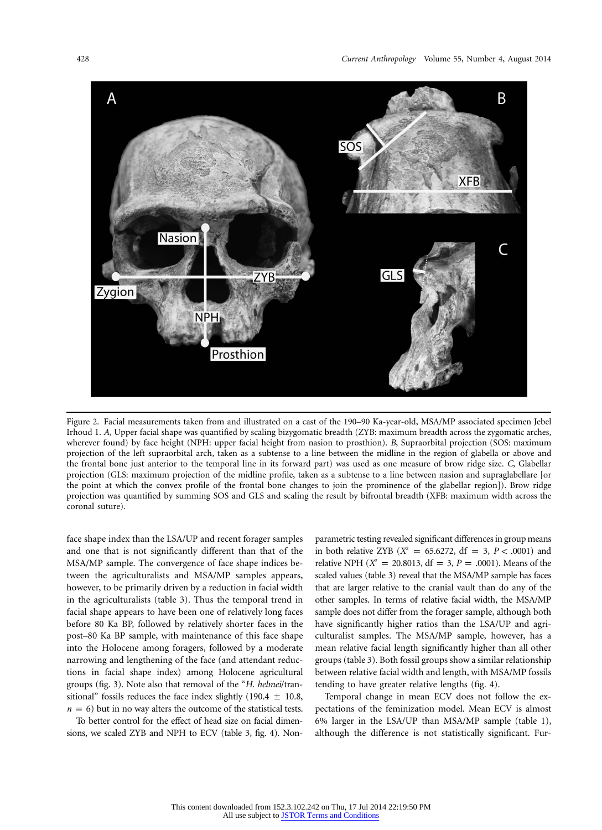

Figure 2. Facial measurements taken from and illustrated on a cast of the 190–90 Ka-year-old, MSA/MP associated specimen Jebel Irhoud 1. *A*, Upper facial shape was quantified by scaling bizygomatic breadth (ZYB: maximum breadth across the zygomatic arches, wherever found) by face height (NPH: upper facial height from nasion to prosthion). *B*, Supraorbital projection (SOS: maximum projection of the left supraorbital arch, taken as a subtense to a line between the midline in the region of glabella or above and the frontal bone just anterior to the temporal line in its forward part) was used as one measure of brow ridge size. *C*, Glabellar projection (GLS: maximum projection of the midline profile, taken as a subtense to a line between nasion and supraglabellare [or the point at which the convex profile of the frontal bone changes to join the prominence of the glabellar region]). Brow ridge projection was quantified by summing SOS and GLS and scaling the result by bifrontal breadth (XFB: maximum width across the coronal suture).

face shape index than the LSA/UP and recent forager samples and one that is not significantly different than that of the MSA/MP sample. The convergence of face shape indices between the agriculturalists and MSA/MP samples appears, however, to be primarily driven by a reduction in facial width in the agriculturalists (table 3). Thus the temporal trend in facial shape appears to have been one of relatively long faces before 80 Ka BP, followed by relatively shorter faces in the post–80 Ka BP sample, with maintenance of this face shape into the Holocene among foragers, followed by a moderate narrowing and lengthening of the face (and attendant reductions in facial shape index) among Holocene agricultural groups (fig. 3). Note also that removal of the "*H. helmei*/transitional" fossils reduces the face index slightly  $(190.4 \pm 10.8,$  $n = 6$ ) but in no way alters the outcome of the statistical tests.

To better control for the effect of head size on facial dimensions, we scaled ZYB and NPH to ECV (table 3, fig. 4). Nonparametric testing revealed significant differences in group means in both relative ZYB ( $X^2 = 65.6272$ , df = 3, *P* < .0001) and relative NPH ( $X^2 = 20.8013$ , df = 3, *P* = .0001). Means of the scaled values (table 3) reveal that the MSA/MP sample has faces that are larger relative to the cranial vault than do any of the other samples. In terms of relative facial width, the MSA/MP sample does not differ from the forager sample, although both have significantly higher ratios than the LSA/UP and agriculturalist samples. The MSA/MP sample, however, has a mean relative facial length significantly higher than all other groups (table 3). Both fossil groups show a similar relationship between relative facial width and length, with MSA/MP fossils tending to have greater relative lengths (fig. 4).

Temporal change in mean ECV does not follow the expectations of the feminization model. Mean ECV is almost 6% larger in the LSA/UP than MSA/MP sample (table 1), although the difference is not statistically significant. Fur-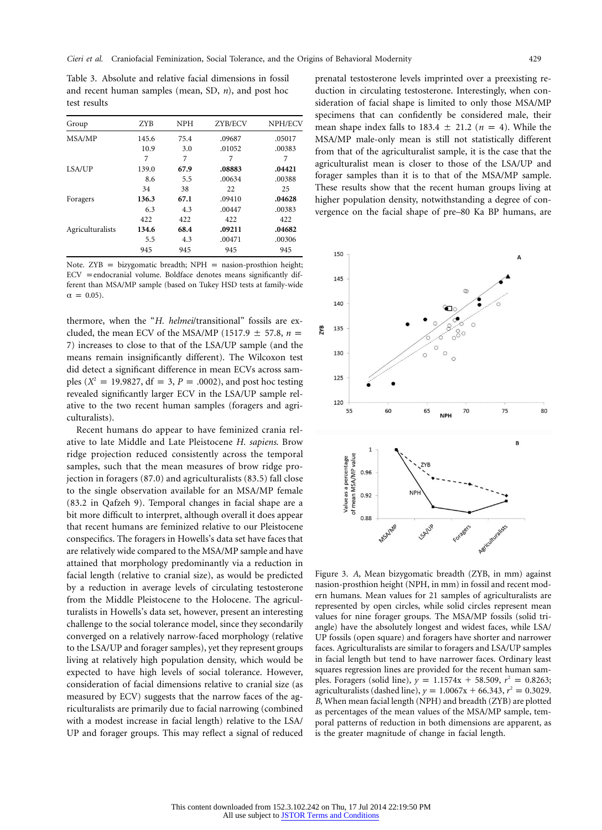Table 3. Absolute and relative facial dimensions in fossil and recent human samples (mean, SD, *n*), and post hoc test results

| Group            | <b>ZYB</b> | <b>NPH</b> | ZYB/ECV | NPH/ECV |
|------------------|------------|------------|---------|---------|
| MSA/MP           | 145.6      | 75.4       | .09687  | .05017  |
|                  | 10.9       | 3.0        | .01052  | .00383  |
|                  | 7          | 7          | 7       | 7       |
| LSA/UP           | 139.0      | 67.9       | .08883  | .04421  |
|                  | 8.6        | 5.5        | .00634  | .00388  |
|                  | 34         | 38         | 22      | 25      |
| Foragers         | 136.3      | 67.1       | .09410  | .04628  |
|                  | 6.3        | 4.3        | .00447  | .00383  |
|                  | 422        | 422        | 422     | 422     |
| Agriculturalists | 134.6      | 68.4       | .09211  | .04682  |
|                  | 5.5        | 4.3        | .00471  | .00306  |
|                  | 945        | 945        | 945     | 945     |

Note.  $ZYB = bizygomatic breadth; NPH = nasion-prosthion height;$  $ECV = endocranial volume.$  Boldface denotes means significantly different than MSA/MP sample (based on Tukey HSD tests at family-wide  $\alpha = 0.05$ ).

thermore, when the "*H. helmei*/transitional" fossils are excluded, the mean ECV of the MSA/MP (1517.9  $\pm$  57.8, *n* = 7) increases to close to that of the LSA/UP sample (and the means remain insignificantly different). The Wilcoxon test did detect a significant difference in mean ECVs across samples ( $X^2 = 19.9827$ , df = 3, *P* = .0002), and post hoc testing revealed significantly larger ECV in the LSA/UP sample relative to the two recent human samples (foragers and agriculturalists).

Recent humans do appear to have feminized crania relative to late Middle and Late Pleistocene *H. sapiens*. Brow ridge projection reduced consistently across the temporal samples, such that the mean measures of brow ridge projection in foragers (87.0) and agriculturalists (83.5) fall close to the single observation available for an MSA/MP female (83.2 in Qafzeh 9). Temporal changes in facial shape are a bit more difficult to interpret, although overall it does appear that recent humans are feminized relative to our Pleistocene conspecifics. The foragers in Howells's data set have faces that are relatively wide compared to the MSA/MP sample and have attained that morphology predominantly via a reduction in facial length (relative to cranial size), as would be predicted by a reduction in average levels of circulating testosterone from the Middle Pleistocene to the Holocene. The agriculturalists in Howells's data set, however, present an interesting challenge to the social tolerance model, since they secondarily converged on a relatively narrow-faced morphology (relative to the LSA/UP and forager samples), yet they represent groups living at relatively high population density, which would be expected to have high levels of social tolerance. However, consideration of facial dimensions relative to cranial size (as measured by ECV) suggests that the narrow faces of the agriculturalists are primarily due to facial narrowing (combined with a modest increase in facial length) relative to the LSA/ UP and forager groups. This may reflect a signal of reduced

prenatal testosterone levels imprinted over a preexisting reduction in circulating testosterone. Interestingly, when consideration of facial shape is limited to only those MSA/MP specimens that can confidently be considered male, their mean shape index falls to  $183.4 \pm 21.2$  ( $n = 4$ ). While the MSA/MP male-only mean is still not statistically different from that of the agriculturalist sample, it is the case that the agriculturalist mean is closer to those of the LSA/UP and forager samples than it is to that of the MSA/MP sample. These results show that the recent human groups living at higher population density, notwithstanding a degree of convergence on the facial shape of pre–80 Ka BP humans, are



Figure 3. *A*, Mean bizygomatic breadth (ZYB, in mm) against nasion-prosthion height (NPH, in mm) in fossil and recent modern humans. Mean values for 21 samples of agriculturalists are represented by open circles, while solid circles represent mean values for nine forager groups. The MSA/MP fossils (solid triangle) have the absolutely longest and widest faces, while LSA/ UP fossils (open square) and foragers have shorter and narrower faces. Agriculturalists are similar to foragers and LSA/UP samples in facial length but tend to have narrower faces. Ordinary least squares regression lines are provided for the recent human samples. Foragers (solid line),  $y = 1.1574x + 58.509$ ,  $r^2 = 0.8263$ ; agriculturalists (dashed line),  $y = 1.0067x + 66.343$ ,  $r^2 = 0.3029$ . *B*, When mean facial length (NPH) and breadth (ZYB) are plotted as percentages of the mean values of the MSA/MP sample, temporal patterns of reduction in both dimensions are apparent, as is the greater magnitude of change in facial length.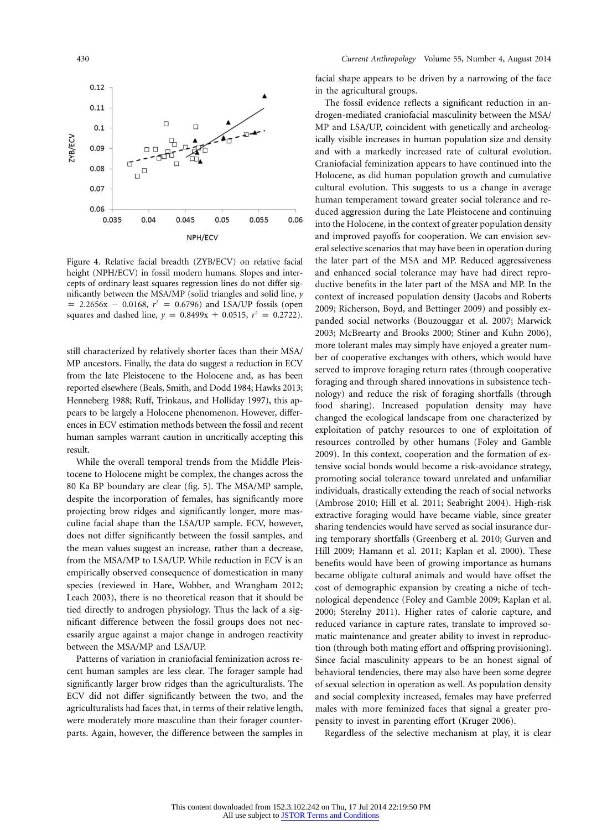

Figure 4. Relative facial breadth (ZYB/ECV) on relative facial height (NPH/ECV) in fossil modern humans. Slopes and intercepts of ordinary least squares regression lines do not differ significantly between the MSA/MP (solid triangles and solid line, *y*  $p = 2.2656x - 0.0168$ ,  $r^2 = 0.6796$  and LSA/UP fossils (open squares and dashed line,  $y = 0.8499x + 0.0515$ ,  $r^2 = 0.2722$ ).

still characterized by relatively shorter faces than their MSA/ MP ancestors. Finally, the data do suggest a reduction in ECV from the late Pleistocene to the Holocene and, as has been reported elsewhere (Beals, Smith, and Dodd 1984; Hawks 2013; Henneberg 1988; Ruff, Trinkaus, and Holliday 1997), this appears to be largely a Holocene phenomenon. However, differences in ECV estimation methods between the fossil and recent human samples warrant caution in uncritically accepting this result.

While the overall temporal trends from the Middle Pleistocene to Holocene might be complex, the changes across the 80 Ka BP boundary are clear (fig. 5). The MSA/MP sample, despite the incorporation of females, has significantly more projecting brow ridges and significantly longer, more masculine facial shape than the LSA/UP sample. ECV, however, does not differ significantly between the fossil samples, and the mean values suggest an increase, rather than a decrease, from the MSA/MP to LSA/UP. While reduction in ECV is an empirically observed consequence of domestication in many species (reviewed in Hare, Wobber, and Wrangham 2012; Leach 2003), there is no theoretical reason that it should be tied directly to androgen physiology. Thus the lack of a significant difference between the fossil groups does not necessarily argue against a major change in androgen reactivity between the MSA/MP and LSA/UP.

Patterns of variation in craniofacial feminization across recent human samples are less clear. The forager sample had significantly larger brow ridges than the agriculturalists. The ECV did not differ significantly between the two, and the agriculturalists had faces that, in terms of their relative length, were moderately more masculine than their forager counterparts. Again, however, the difference between the samples in facial shape appears to be driven by a narrowing of the face in the agricultural groups.

The fossil evidence reflects a significant reduction in androgen-mediated craniofacial masculinity between the MSA/ MP and LSA/UP, coincident with genetically and archeologically visible increases in human population size and density and with a markedly increased rate of cultural evolution. Craniofacial feminization appears to have continued into the Holocene, as did human population growth and cumulative cultural evolution. This suggests to us a change in average human temperament toward greater social tolerance and reduced aggression during the Late Pleistocene and continuing into the Holocene, in the context of greater population density and improved payoffs for cooperation. We can envision several selective scenarios that may have been in operation during the later part of the MSA and MP. Reduced aggressiveness and enhanced social tolerance may have had direct reproductive benefits in the later part of the MSA and MP. In the context of increased population density (Jacobs and Roberts 2009; Richerson, Boyd, and Bettinger 2009) and possibly expanded social networks (Bouzouggar et al. 2007; Marwick 2003; McBrearty and Brooks 2000; Stiner and Kuhn 2006), more tolerant males may simply have enjoyed a greater number of cooperative exchanges with others, which would have served to improve foraging return rates (through cooperative foraging and through shared innovations in subsistence technology) and reduce the risk of foraging shortfalls (through food sharing). Increased population density may have changed the ecological landscape from one characterized by exploitation of patchy resources to one of exploitation of resources controlled by other humans (Foley and Gamble 2009). In this context, cooperation and the formation of extensive social bonds would become a risk-avoidance strategy, promoting social tolerance toward unrelated and unfamiliar individuals, drastically extending the reach of social networks (Ambrose 2010; Hill et al. 2011; Seabright 2004). High-risk extractive foraging would have became viable, since greater sharing tendencies would have served as social insurance during temporary shortfalls (Greenberg et al. 2010; Gurven and Hill 2009; Hamann et al. 2011; Kaplan et al. 2000). These benefits would have been of growing importance as humans became obligate cultural animals and would have offset the cost of demographic expansion by creating a niche of technological dependence (Foley and Gamble 2009; Kaplan et al. 2000; Sterelny 2011). Higher rates of calorie capture, and reduced variance in capture rates, translate to improved somatic maintenance and greater ability to invest in reproduction (through both mating effort and offspring provisioning). Since facial masculinity appears to be an honest signal of behavioral tendencies, there may also have been some degree of sexual selection in operation as well. As population density and social complexity increased, females may have preferred males with more feminized faces that signal a greater propensity to invest in parenting effort (Kruger 2006).

Regardless of the selective mechanism at play, it is clear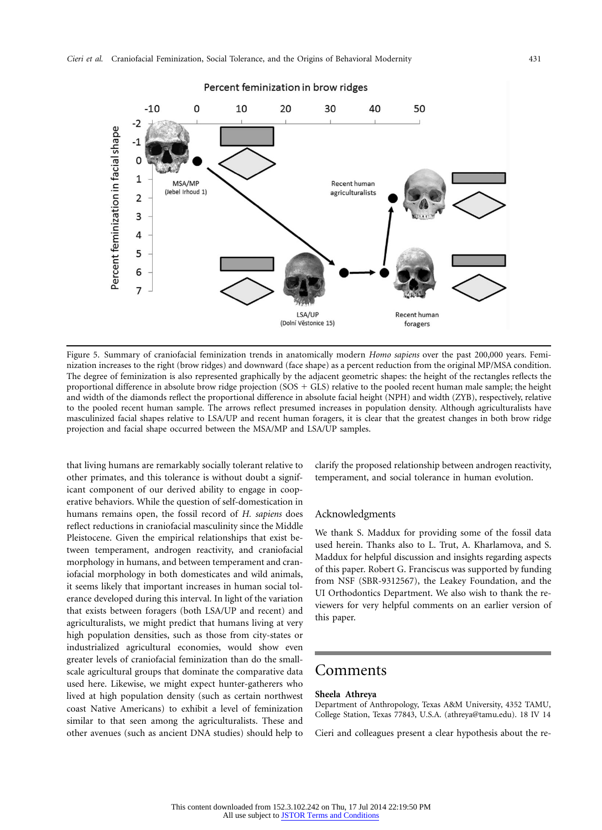

Figure 5. Summary of craniofacial feminization trends in anatomically modern *Homo sapiens* over the past 200,000 years. Feminization increases to the right (brow ridges) and downward (face shape) as a percent reduction from the original MP/MSA condition. The degree of feminization is also represented graphically by the adjacent geometric shapes: the height of the rectangles reflects the proportional difference in absolute brow ridge projection (SOS - GLS) relative to the pooled recent human male sample; the height and width of the diamonds reflect the proportional difference in absolute facial height (NPH) and width (ZYB), respectively, relative to the pooled recent human sample. The arrows reflect presumed increases in population density. Although agriculturalists have masculinized facial shapes relative to LSA/UP and recent human foragers, it is clear that the greatest changes in both brow ridge projection and facial shape occurred between the MSA/MP and LSA/UP samples.

that living humans are remarkably socially tolerant relative to other primates, and this tolerance is without doubt a significant component of our derived ability to engage in cooperative behaviors. While the question of self-domestication in humans remains open, the fossil record of *H. sapiens* does reflect reductions in craniofacial masculinity since the Middle Pleistocene. Given the empirical relationships that exist between temperament, androgen reactivity, and craniofacial morphology in humans, and between temperament and craniofacial morphology in both domesticates and wild animals, it seems likely that important increases in human social tolerance developed during this interval. In light of the variation that exists between foragers (both LSA/UP and recent) and agriculturalists, we might predict that humans living at very high population densities, such as those from city-states or industrialized agricultural economies, would show even greater levels of craniofacial feminization than do the smallscale agricultural groups that dominate the comparative data used here. Likewise, we might expect hunter-gatherers who lived at high population density (such as certain northwest coast Native Americans) to exhibit a level of feminization similar to that seen among the agriculturalists. These and other avenues (such as ancient DNA studies) should help to

clarify the proposed relationship between androgen reactivity, temperament, and social tolerance in human evolution.

### Acknowledgments

We thank S. Maddux for providing some of the fossil data used herein. Thanks also to L. Trut, A. Kharlamova, and S. Maddux for helpful discussion and insights regarding aspects of this paper. Robert G. Franciscus was supported by funding from NSF (SBR-9312567), the Leakey Foundation, and the UI Orthodontics Department. We also wish to thank the reviewers for very helpful comments on an earlier version of this paper.

# Comments

### **Sheela Athreya**

Department of Anthropology, Texas A&M University, 4352 TAMU, College Station, Texas 77843, U.S.A. [\(athreya@tamu.edu\)](mailto:athreya@tamu.edu). 18 IV 14

Cieri and colleagues present a clear hypothesis about the re-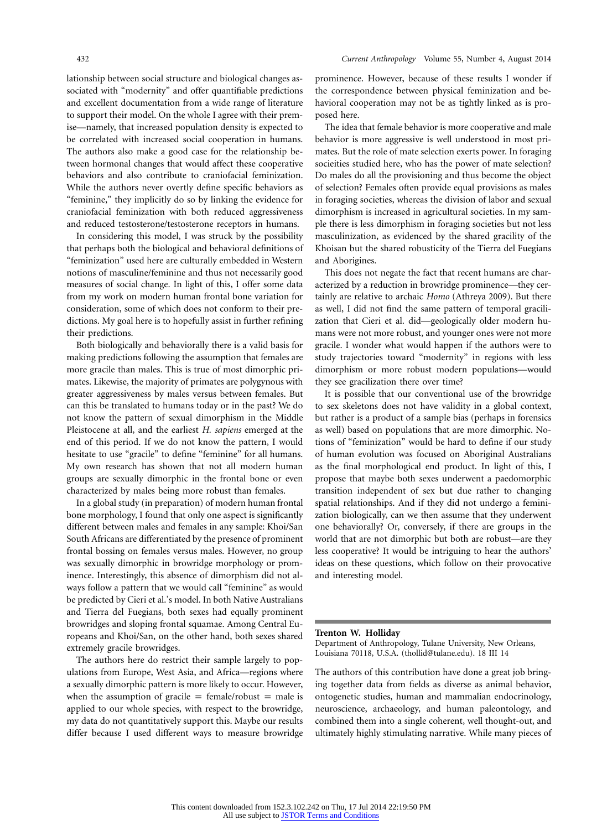lationship between social structure and biological changes associated with "modernity" and offer quantifiable predictions and excellent documentation from a wide range of literature to support their model. On the whole I agree with their premise—namely, that increased population density is expected to be correlated with increased social cooperation in humans. The authors also make a good case for the relationship between hormonal changes that would affect these cooperative behaviors and also contribute to craniofacial feminization. While the authors never overtly define specific behaviors as "feminine," they implicitly do so by linking the evidence for craniofacial feminization with both reduced aggressiveness and reduced testosterone/testosterone receptors in humans.

In considering this model, I was struck by the possibility that perhaps both the biological and behavioral definitions of "feminization" used here are culturally embedded in Western notions of masculine/feminine and thus not necessarily good measures of social change. In light of this, I offer some data from my work on modern human frontal bone variation for consideration, some of which does not conform to their predictions. My goal here is to hopefully assist in further refining their predictions.

Both biologically and behaviorally there is a valid basis for making predictions following the assumption that females are more gracile than males. This is true of most dimorphic primates. Likewise, the majority of primates are polygynous with greater aggressiveness by males versus between females. But can this be translated to humans today or in the past? We do not know the pattern of sexual dimorphism in the Middle Pleistocene at all, and the earliest *H. sapiens* emerged at the end of this period. If we do not know the pattern, I would hesitate to use "gracile" to define "feminine" for all humans. My own research has shown that not all modern human groups are sexually dimorphic in the frontal bone or even characterized by males being more robust than females.

In a global study (in preparation) of modern human frontal bone morphology, I found that only one aspect is significantly different between males and females in any sample: Khoi/San South Africans are differentiated by the presence of prominent frontal bossing on females versus males. However, no group was sexually dimorphic in browridge morphology or prominence. Interestingly, this absence of dimorphism did not always follow a pattern that we would call "feminine" as would be predicted by Cieri et al.'s model. In both Native Australians and Tierra del Fuegians, both sexes had equally prominent browridges and sloping frontal squamae. Among Central Europeans and Khoi/San, on the other hand, both sexes shared extremely gracile browridges.

The authors here do restrict their sample largely to populations from Europe, West Asia, and Africa—regions where a sexually dimorphic pattern is more likely to occur. However, when the assumption of gracile  $=$  female/robust  $=$  male is applied to our whole species, with respect to the browridge, my data do not quantitatively support this. Maybe our results differ because I used different ways to measure browridge prominence. However, because of these results I wonder if the correspondence between physical feminization and behavioral cooperation may not be as tightly linked as is proposed here.

The idea that female behavior is more cooperative and male behavior is more aggressive is well understood in most primates. But the role of mate selection exerts power. In foraging socieities studied here, who has the power of mate selection? Do males do all the provisioning and thus become the object of selection? Females often provide equal provisions as males in foraging societies, whereas the division of labor and sexual dimorphism is increased in agricultural societies. In my sample there is less dimorphism in foraging societies but not less masculinization, as evidenced by the shared gracility of the Khoisan but the shared robusticity of the Tierra del Fuegians and Aborigines.

This does not negate the fact that recent humans are characterized by a reduction in browridge prominence—they certainly are relative to archaic *Homo* (Athreya 2009). But there as well, I did not find the same pattern of temporal gracilization that Cieri et al. did—geologically older modern humans were not more robust, and younger ones were not more gracile. I wonder what would happen if the authors were to study trajectories toward "modernity" in regions with less dimorphism or more robust modern populations—would they see gracilization there over time?

It is possible that our conventional use of the browridge to sex skeletons does not have validity in a global context, but rather is a product of a sample bias (perhaps in forensics as well) based on populations that are more dimorphic. Notions of "feminization" would be hard to define if our study of human evolution was focused on Aboriginal Australians as the final morphological end product. In light of this, I propose that maybe both sexes underwent a paedomorphic transition independent of sex but due rather to changing spatial relationships. And if they did not undergo a feminization biologically, can we then assume that they underwent one behaviorally? Or, conversely, if there are groups in the world that are not dimorphic but both are robust—are they less cooperative? It would be intriguing to hear the authors' ideas on these questions, which follow on their provocative and interesting model.

#### **Trenton W. Holliday**

Department of Anthropology, Tulane University, New Orleans, Louisiana 70118, U.S.A. [\(thollid@tulane.edu\)](mailto:thollid@tulane.edu). 18 III 14

The authors of this contribution have done a great job bringing together data from fields as diverse as animal behavior, ontogenetic studies, human and mammalian endocrinology, neuroscience, archaeology, and human paleontology, and combined them into a single coherent, well thought-out, and ultimately highly stimulating narrative. While many pieces of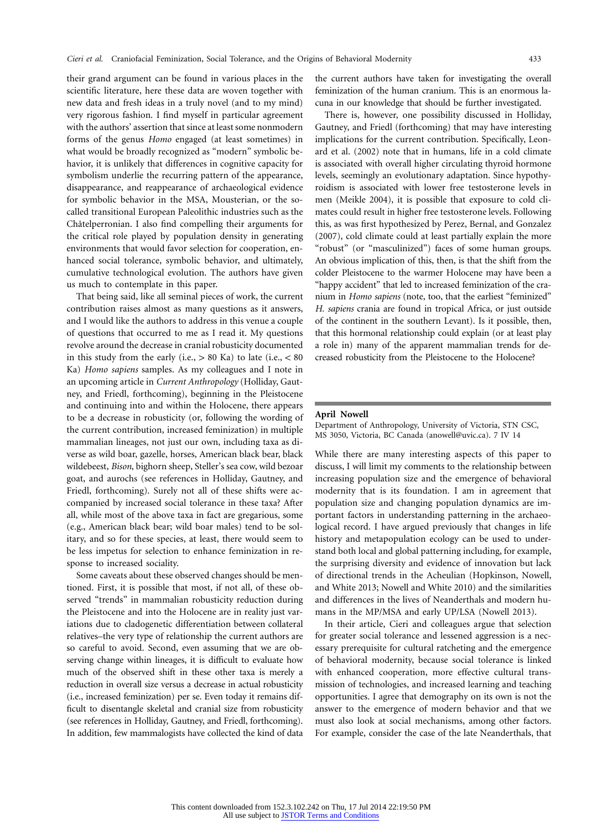their grand argument can be found in various places in the scientific literature, here these data are woven together with new data and fresh ideas in a truly novel (and to my mind) very rigorous fashion. I find myself in particular agreement with the authors' assertion that since at least some nonmodern forms of the genus *Homo* engaged (at least sometimes) in what would be broadly recognized as "modern" symbolic behavior, it is unlikely that differences in cognitive capacity for symbolism underlie the recurring pattern of the appearance, disappearance, and reappearance of archaeological evidence for symbolic behavior in the MSA, Mousterian, or the socalled transitional European Paleolithic industries such as the Châtelperronian. I also find compelling their arguments for the critical role played by population density in generating environments that would favor selection for cooperation, enhanced social tolerance, symbolic behavior, and ultimately, cumulative technological evolution. The authors have given us much to contemplate in this paper.

That being said, like all seminal pieces of work, the current contribution raises almost as many questions as it answers, and I would like the authors to address in this venue a couple of questions that occurred to me as I read it. My questions revolve around the decrease in cranial robusticity documented in this study from the early (i.e.,  $> 80$  Ka) to late (i.e.,  $< 80$ Ka) *Homo sapiens* samples. As my colleagues and I note in an upcoming article in *Current Anthropology* (Holliday, Gautney, and Friedl, forthcoming), beginning in the Pleistocene and continuing into and within the Holocene, there appears to be a decrease in robusticity (or, following the wording of the current contribution, increased feminization) in multiple mammalian lineages, not just our own, including taxa as diverse as wild boar, gazelle, horses, American black bear, black wildebeest, *Bison*, bighorn sheep, Steller's sea cow, wild bezoar goat, and aurochs (see references in Holliday, Gautney, and Friedl, forthcoming). Surely not all of these shifts were accompanied by increased social tolerance in these taxa? After all, while most of the above taxa in fact are gregarious, some (e.g., American black bear; wild boar males) tend to be solitary, and so for these species, at least, there would seem to be less impetus for selection to enhance feminization in response to increased sociality.

Some caveats about these observed changes should be mentioned. First, it is possible that most, if not all, of these observed "trends" in mammalian robusticity reduction during the Pleistocene and into the Holocene are in reality just variations due to cladogenetic differentiation between collateral relatives–the very type of relationship the current authors are so careful to avoid. Second, even assuming that we are observing change within lineages, it is difficult to evaluate how much of the observed shift in these other taxa is merely a reduction in overall size versus a decrease in actual robusticity (i.e., increased feminization) per se. Even today it remains difficult to disentangle skeletal and cranial size from robusticity (see references in Holliday, Gautney, and Friedl, forthcoming). In addition, few mammalogists have collected the kind of data

the current authors have taken for investigating the overall feminization of the human cranium. This is an enormous lacuna in our knowledge that should be further investigated.

There is, however, one possibility discussed in Holliday, Gautney, and Friedl (forthcoming) that may have interesting implications for the current contribution. Specifically, Leonard et al. (2002) note that in humans, life in a cold climate is associated with overall higher circulating thyroid hormone levels, seemingly an evolutionary adaptation. Since hypothyroidism is associated with lower free testosterone levels in men (Meikle 2004), it is possible that exposure to cold climates could result in higher free testosterone levels. Following this, as was first hypothesized by Perez, Bernal, and Gonzalez (2007), cold climate could at least partially explain the more "robust" (or "masculinized") faces of some human groups. An obvious implication of this, then, is that the shift from the colder Pleistocene to the warmer Holocene may have been a "happy accident" that led to increased feminization of the cranium in *Homo sapiens* (note, too, that the earliest "feminized" *H. sapiens* crania are found in tropical Africa, or just outside of the continent in the southern Levant). Is it possible, then, that this hormonal relationship could explain (or at least play a role in) many of the apparent mammalian trends for decreased robusticity from the Pleistocene to the Holocene?

### **April Nowell**

Department of Anthropology, University of Victoria, STN CSC, MS 3050, Victoria, BC Canada [\(anowell@uvic.ca\)](mailto:anowell@uvic.ca). 7 IV 14

While there are many interesting aspects of this paper to discuss, I will limit my comments to the relationship between increasing population size and the emergence of behavioral modernity that is its foundation. I am in agreement that population size and changing population dynamics are important factors in understanding patterning in the archaeological record. I have argued previously that changes in life history and metapopulation ecology can be used to understand both local and global patterning including, for example, the surprising diversity and evidence of innovation but lack of directional trends in the Acheulian (Hopkinson, Nowell, and White 2013; Nowell and White 2010) and the similarities and differences in the lives of Neanderthals and modern humans in the MP/MSA and early UP/LSA (Nowell 2013).

In their article, Cieri and colleagues argue that selection for greater social tolerance and lessened aggression is a necessary prerequisite for cultural ratcheting and the emergence of behavioral modernity, because social tolerance is linked with enhanced cooperation, more effective cultural transmission of technologies, and increased learning and teaching opportunities. I agree that demography on its own is not the answer to the emergence of modern behavior and that we must also look at social mechanisms, among other factors. For example, consider the case of the late Neanderthals, that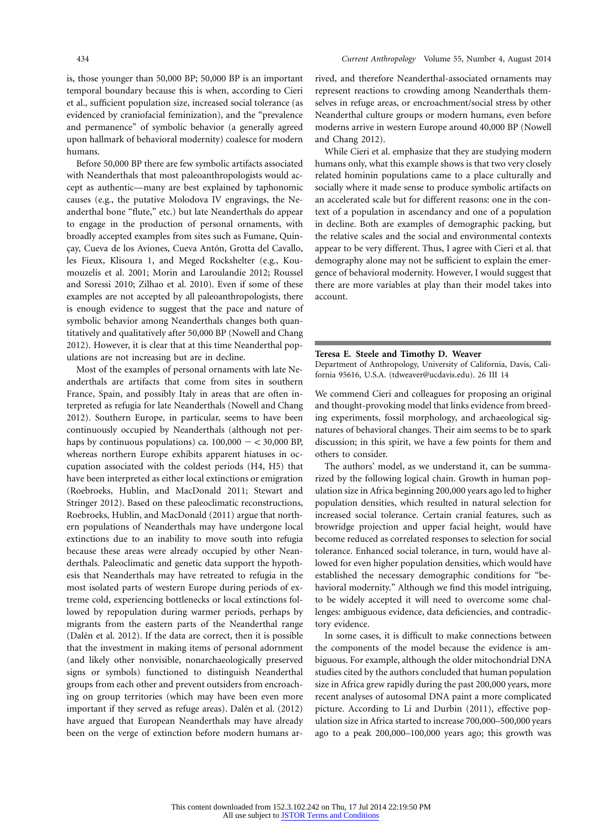is, those younger than 50,000 BP; 50,000 BP is an important temporal boundary because this is when, according to Cieri et al., sufficient population size, increased social tolerance (as evidenced by craniofacial feminization), and the "prevalence and permanence" of symbolic behavior (a generally agreed upon hallmark of behavioral modernity) coalesce for modern humans.

Before 50,000 BP there are few symbolic artifacts associated with Neanderthals that most paleoanthropologists would accept as authentic—many are best explained by taphonomic causes (e.g., the putative Molodova IV engravings, the Neanderthal bone "flute," etc.) but late Neanderthals do appear to engage in the production of personal ornaments, with broadly accepted examples from sites such as Fumane, Quinçay, Cueva de los Aviones, Cueva Antón, Grotta del Cavallo, les Fieux, Klisoura 1, and Meged Rockshelter (e.g., Koumouzelis et al. 2001; Morin and Laroulandie 2012; Roussel and Soressi 2010; Zilhao et al. 2010). Even if some of these examples are not accepted by all paleoanthropologists, there is enough evidence to suggest that the pace and nature of symbolic behavior among Neanderthals changes both quantitatively and qualitatively after 50,000 BP (Nowell and Chang 2012). However, it is clear that at this time Neanderthal populations are not increasing but are in decline.

Most of the examples of personal ornaments with late Neanderthals are artifacts that come from sites in southern France, Spain, and possibly Italy in areas that are often interpreted as refugia for late Neanderthals (Nowell and Chang 2012). Southern Europe, in particular, seems to have been continuously occupied by Neanderthals (although not perhaps by continuous populations) ca.  $100,000 - < 30,000$  BP, whereas northern Europe exhibits apparent hiatuses in occupation associated with the coldest periods (H4, H5) that have been interpreted as either local extinctions or emigration (Roebroeks, Hublin, and MacDonald 2011; Stewart and Stringer 2012). Based on these paleoclimatic reconstructions, Roebroeks, Hublin, and MacDonald (2011) argue that northern populations of Neanderthals may have undergone local extinctions due to an inability to move south into refugia because these areas were already occupied by other Neanderthals. Paleoclimatic and genetic data support the hypothesis that Neanderthals may have retreated to refugia in the most isolated parts of western Europe during periods of extreme cold, experiencing bottlenecks or local extinctions followed by repopulation during warmer periods, perhaps by migrants from the eastern parts of the Neanderthal range (Dalén et al. 2012). If the data are correct, then it is possible that the investment in making items of personal adornment (and likely other nonvisible, nonarchaeologically preserved signs or symbols) functioned to distinguish Neanderthal groups from each other and prevent outsiders from encroaching on group territories (which may have been even more important if they served as refuge areas). Dalén et al. (2012) have argued that European Neanderthals may have already been on the verge of extinction before modern humans arrived, and therefore Neanderthal-associated ornaments may represent reactions to crowding among Neanderthals themselves in refuge areas, or encroachment/social stress by other Neanderthal culture groups or modern humans, even before moderns arrive in western Europe around 40,000 BP (Nowell and Chang 2012).

While Cieri et al. emphasize that they are studying modern humans only, what this example shows is that two very closely related hominin populations came to a place culturally and socially where it made sense to produce symbolic artifacts on an accelerated scale but for different reasons: one in the context of a population in ascendancy and one of a population in decline. Both are examples of demographic packing, but the relative scales and the social and environmental contexts appear to be very different. Thus, I agree with Cieri et al. that demography alone may not be sufficient to explain the emergence of behavioral modernity. However, I would suggest that there are more variables at play than their model takes into account.

### **Teresa E. Steele and Timothy D. Weaver**

Department of Anthropology, University of California, Davis, California 95616, U.S.A. [\(tdweaver@ucdavis.edu\)](mailto:tdweaver@ucdavis.edu). 26 III 14

We commend Cieri and colleagues for proposing an original and thought-provoking model that links evidence from breeding experiments, fossil morphology, and archaeological signatures of behavioral changes. Their aim seems to be to spark discussion; in this spirit, we have a few points for them and others to consider.

The authors' model, as we understand it, can be summarized by the following logical chain. Growth in human population size in Africa beginning 200,000 years ago led to higher population densities, which resulted in natural selection for increased social tolerance. Certain cranial features, such as browridge projection and upper facial height, would have become reduced as correlated responses to selection for social tolerance. Enhanced social tolerance, in turn, would have allowed for even higher population densities, which would have established the necessary demographic conditions for "behavioral modernity." Although we find this model intriguing, to be widely accepted it will need to overcome some challenges: ambiguous evidence, data deficiencies, and contradictory evidence.

In some cases, it is difficult to make connections between the components of the model because the evidence is ambiguous. For example, although the older mitochondrial DNA studies cited by the authors concluded that human population size in Africa grew rapidly during the past 200,000 years, more recent analyses of autosomal DNA paint a more complicated picture. According to Li and Durbin (2011), effective population size in Africa started to increase 700,000–500,000 years ago to a peak 200,000–100,000 years ago; this growth was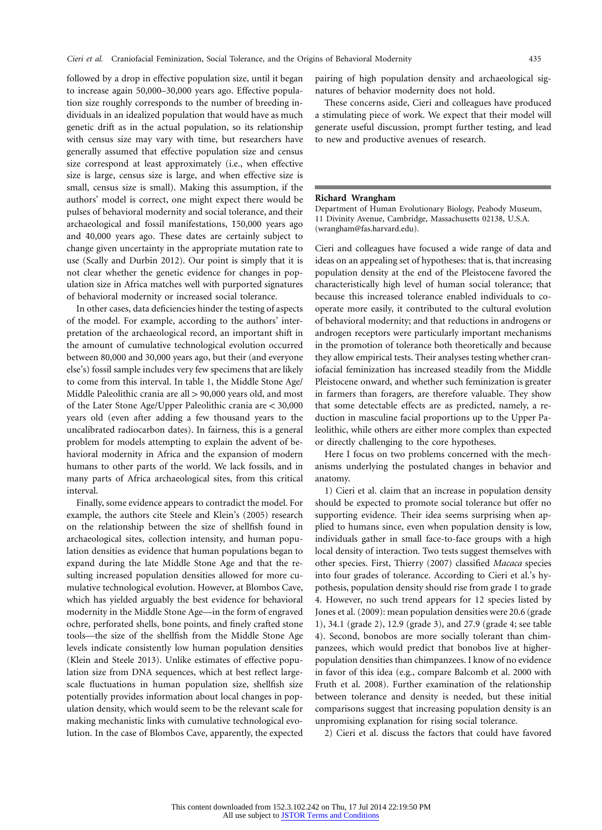followed by a drop in effective population size, until it began to increase again 50,000–30,000 years ago. Effective population size roughly corresponds to the number of breeding individuals in an idealized population that would have as much genetic drift as in the actual population, so its relationship with census size may vary with time, but researchers have generally assumed that effective population size and census size correspond at least approximately (i.e., when effective size is large, census size is large, and when effective size is small, census size is small). Making this assumption, if the authors' model is correct, one might expect there would be pulses of behavioral modernity and social tolerance, and their archaeological and fossil manifestations, 150,000 years ago and 40,000 years ago. These dates are certainly subject to change given uncertainty in the appropriate mutation rate to use (Scally and Durbin 2012). Our point is simply that it is not clear whether the genetic evidence for changes in population size in Africa matches well with purported signatures of behavioral modernity or increased social tolerance.

In other cases, data deficiencies hinder the testing of aspects of the model. For example, according to the authors' interpretation of the archaeological record, an important shift in the amount of cumulative technological evolution occurred between 80,000 and 30,000 years ago, but their (and everyone else's) fossil sample includes very few specimens that are likely to come from this interval. In table 1, the Middle Stone Age/ Middle Paleolithic crania are all > 90,000 years old, and most of the Later Stone Age/Upper Paleolithic crania are  $<$  30,000 years old (even after adding a few thousand years to the uncalibrated radiocarbon dates). In fairness, this is a general problem for models attempting to explain the advent of behavioral modernity in Africa and the expansion of modern humans to other parts of the world. We lack fossils, and in many parts of Africa archaeological sites, from this critical interval.

Finally, some evidence appears to contradict the model. For example, the authors cite Steele and Klein's (2005) research on the relationship between the size of shellfish found in archaeological sites, collection intensity, and human population densities as evidence that human populations began to expand during the late Middle Stone Age and that the resulting increased population densities allowed for more cumulative technological evolution. However, at Blombos Cave, which has yielded arguably the best evidence for behavioral modernity in the Middle Stone Age—in the form of engraved ochre, perforated shells, bone points, and finely crafted stone tools—the size of the shellfish from the Middle Stone Age levels indicate consistently low human population densities (Klein and Steele 2013). Unlike estimates of effective population size from DNA sequences, which at best reflect largescale fluctuations in human population size, shellfish size potentially provides information about local changes in population density, which would seem to be the relevant scale for making mechanistic links with cumulative technological evolution. In the case of Blombos Cave, apparently, the expected pairing of high population density and archaeological signatures of behavior modernity does not hold.

These concerns aside, Cieri and colleagues have produced a stimulating piece of work. We expect that their model will generate useful discussion, prompt further testing, and lead to new and productive avenues of research.

#### **Richard Wrangham**

Department of Human Evolutionary Biology, Peabody Museum, 11 Divinity Avenue, Cambridge, Massachusetts 02138, U.S.A. [\(wrangham@fas.harvard.edu\)](mailto:wrangham@fas.harvard.edu).

Cieri and colleagues have focused a wide range of data and ideas on an appealing set of hypotheses: that is, that increasing population density at the end of the Pleistocene favored the characteristically high level of human social tolerance; that because this increased tolerance enabled individuals to cooperate more easily, it contributed to the cultural evolution of behavioral modernity; and that reductions in androgens or androgen receptors were particularly important mechanisms in the promotion of tolerance both theoretically and because they allow empirical tests. Their analyses testing whether craniofacial feminization has increased steadily from the Middle Pleistocene onward, and whether such feminization is greater in farmers than foragers, are therefore valuable. They show that some detectable effects are as predicted, namely, a reduction in masculine facial proportions up to the Upper Paleolithic, while others are either more complex than expected or directly challenging to the core hypotheses.

Here I focus on two problems concerned with the mechanisms underlying the postulated changes in behavior and anatomy.

1) Cieri et al. claim that an increase in population density should be expected to promote social tolerance but offer no supporting evidence. Their idea seems surprising when applied to humans since, even when population density is low, individuals gather in small face-to-face groups with a high local density of interaction. Two tests suggest themselves with other species. First, Thierry (2007) classified *Macaca* species into four grades of tolerance. According to Cieri et al.'s hypothesis, population density should rise from grade 1 to grade 4. However, no such trend appears for 12 species listed by Jones et al. (2009): mean population densities were 20.6 (grade 1), 34.1 (grade 2), 12.9 (grade 3), and 27.9 (grade 4; see table 4). Second, bonobos are more socially tolerant than chimpanzees, which would predict that bonobos live at higherpopulation densities than chimpanzees. I know of no evidence in favor of this idea (e.g., compare Balcomb et al. 2000 with Fruth et al. 2008). Further examination of the relationship between tolerance and density is needed, but these initial comparisons suggest that increasing population density is an unpromising explanation for rising social tolerance.

2) Cieri et al. discuss the factors that could have favored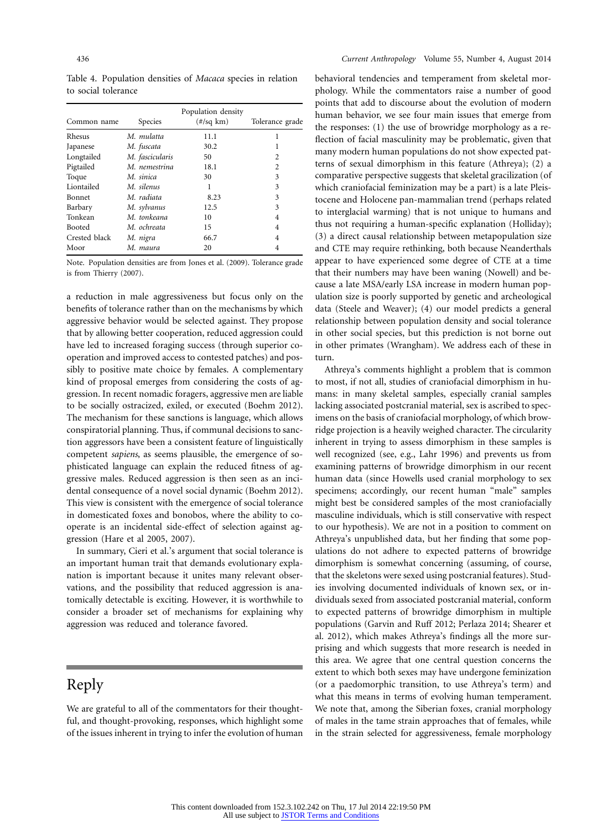Table 4. Population densities of *Macaca* species in relation to social tolerance

| Common name   | Species         | Population density<br>$(\frac{\#}{\text{sq km}})$ | Tolerance grade |
|---------------|-----------------|---------------------------------------------------|-----------------|
| Rhesus        | M. mulatta      | 11.1                                              | 1               |
| Japanese      | M. fuscata      | 30.2                                              | 1               |
| Longtailed    | M. fascicularis | 50                                                | $\overline{c}$  |
| Pigtailed     | M. nemestrina   | 18.1                                              | 2               |
| Toque         | M. sinica       | 30                                                | 3               |
| Liontailed    | M. silenus      | 1                                                 | 3               |
| <b>Bonnet</b> | M. radiata      | 8.23                                              | 3               |
| Barbary       | M. sylvanus     | 12.5                                              | 3               |
| Tonkean       | M. tonkeana     | 10                                                | 4               |
| <b>Booted</b> | M. ochreata     | 15                                                | 4               |
| Crested black | M. nigra        | 66.7                                              | 4               |
| Moor          | M. maura        | 20                                                | 4               |

Note. Population densities are from Jones et al. (2009). Tolerance grade is from Thierry (2007).

a reduction in male aggressiveness but focus only on the benefits of tolerance rather than on the mechanisms by which aggressive behavior would be selected against. They propose that by allowing better cooperation, reduced aggression could have led to increased foraging success (through superior cooperation and improved access to contested patches) and possibly to positive mate choice by females. A complementary kind of proposal emerges from considering the costs of aggression. In recent nomadic foragers, aggressive men are liable to be socially ostracized, exiled, or executed (Boehm 2012). The mechanism for these sanctions is language, which allows conspiratorial planning. Thus, if communal decisions to sanction aggressors have been a consistent feature of linguistically competent *sapiens*, as seems plausible, the emergence of sophisticated language can explain the reduced fitness of aggressive males. Reduced aggression is then seen as an incidental consequence of a novel social dynamic (Boehm 2012). This view is consistent with the emergence of social tolerance in domesticated foxes and bonobos, where the ability to cooperate is an incidental side-effect of selection against aggression (Hare et al 2005, 2007).

In summary, Cieri et al.'s argument that social tolerance is an important human trait that demands evolutionary explanation is important because it unites many relevant observations, and the possibility that reduced aggression is anatomically detectable is exciting. However, it is worthwhile to consider a broader set of mechanisms for explaining why aggression was reduced and tolerance favored.

# Reply

We are grateful to all of the commentators for their thoughtful, and thought-provoking, responses, which highlight some of the issues inherent in trying to infer the evolution of human behavioral tendencies and temperament from skeletal morphology. While the commentators raise a number of good points that add to discourse about the evolution of modern human behavior, we see four main issues that emerge from the responses: (1) the use of browridge morphology as a reflection of facial masculinity may be problematic, given that many modern human populations do not show expected patterns of sexual dimorphism in this feature (Athreya); (2) a comparative perspective suggests that skeletal gracilization (of which craniofacial feminization may be a part) is a late Pleistocene and Holocene pan-mammalian trend (perhaps related to interglacial warming) that is not unique to humans and thus not requiring a human-specific explanation (Holliday); (3) a direct causal relationship between metapopulation size and CTE may require rethinking, both because Neanderthals appear to have experienced some degree of CTE at a time that their numbers may have been waning (Nowell) and because a late MSA/early LSA increase in modern human population size is poorly supported by genetic and archeological data (Steele and Weaver); (4) our model predicts a general relationship between population density and social tolerance in other social species, but this prediction is not borne out in other primates (Wrangham). We address each of these in turn.

Athreya's comments highlight a problem that is common to most, if not all, studies of craniofacial dimorphism in humans: in many skeletal samples, especially cranial samples lacking associated postcranial material, sex is ascribed to specimens on the basis of craniofacial morphology, of which browridge projection is a heavily weighed character. The circularity inherent in trying to assess dimorphism in these samples is well recognized (see, e.g., Lahr 1996) and prevents us from examining patterns of browridge dimorphism in our recent human data (since Howells used cranial morphology to sex specimens; accordingly, our recent human "male" samples might best be considered samples of the most craniofacially masculine individuals, which is still conservative with respect to our hypothesis). We are not in a position to comment on Athreya's unpublished data, but her finding that some populations do not adhere to expected patterns of browridge dimorphism is somewhat concerning (assuming, of course, that the skeletons were sexed using postcranial features). Studies involving documented individuals of known sex, or individuals sexed from associated postcranial material, conform to expected patterns of browridge dimorphism in multiple populations (Garvin and Ruff 2012; Perlaza 2014; Shearer et al. 2012), which makes Athreya's findings all the more surprising and which suggests that more research is needed in this area. We agree that one central question concerns the extent to which both sexes may have undergone feminization (or a paedomorphic transition, to use Athreya's term) and what this means in terms of evolving human temperament. We note that, among the Siberian foxes, cranial morphology of males in the tame strain approaches that of females, while in the strain selected for aggressiveness, female morphology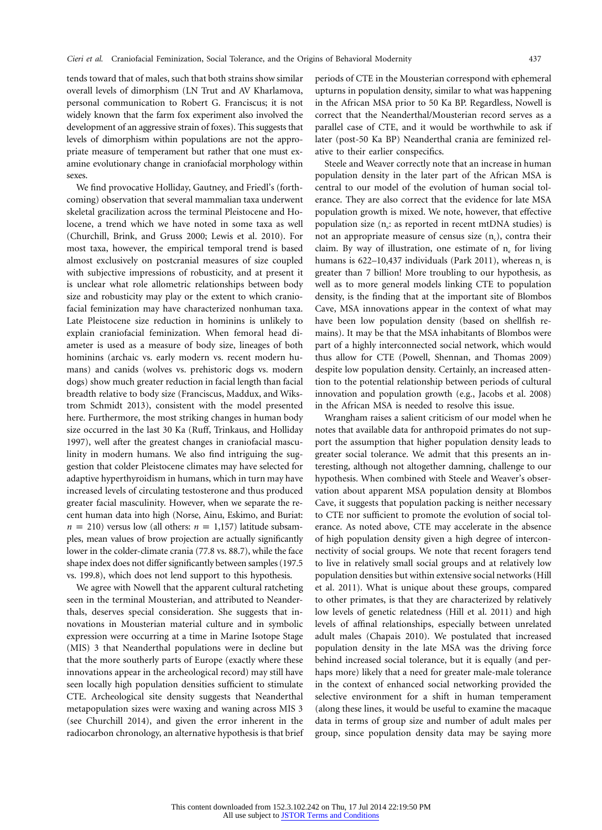tends toward that of males, such that both strains show similar overall levels of dimorphism (LN Trut and AV Kharlamova, personal communication to Robert G. Franciscus; it is not widely known that the farm fox experiment also involved the development of an aggressive strain of foxes). This suggests that levels of dimorphism within populations are not the appropriate measure of temperament but rather that one must examine evolutionary change in craniofacial morphology within sexes.

We find provocative Holliday, Gautney, and Friedl's (forthcoming) observation that several mammalian taxa underwent skeletal gracilization across the terminal Pleistocene and Holocene, a trend which we have noted in some taxa as well (Churchill, Brink, and Gruss 2000; Lewis et al. 2010). For most taxa, however, the empirical temporal trend is based almost exclusively on postcranial measures of size coupled with subjective impressions of robusticity, and at present it is unclear what role allometric relationships between body size and robusticity may play or the extent to which craniofacial feminization may have characterized nonhuman taxa. Late Pleistocene size reduction in hominins is unlikely to explain craniofacial feminization. When femoral head diameter is used as a measure of body size, lineages of both hominins (archaic vs. early modern vs. recent modern humans) and canids (wolves vs. prehistoric dogs vs. modern dogs) show much greater reduction in facial length than facial breadth relative to body size (Franciscus, Maddux, and Wikstrom Schmidt 2013), consistent with the model presented here. Furthermore, the most striking changes in human body size occurred in the last 30 Ka (Ruff, Trinkaus, and Holliday 1997), well after the greatest changes in craniofacial masculinity in modern humans. We also find intriguing the suggestion that colder Pleistocene climates may have selected for adaptive hyperthyroidism in humans, which in turn may have increased levels of circulating testosterone and thus produced greater facial masculinity. However, when we separate the recent human data into high (Norse, Ainu, Eskimo, and Buriat:  $n = 210$ ) versus low (all others:  $n = 1,157$ ) latitude subsamples, mean values of brow projection are actually significantly lower in the colder-climate crania (77.8 vs. 88.7), while the face shape index does not differ significantly between samples (197.5 vs. 199.8), which does not lend support to this hypothesis.

We agree with Nowell that the apparent cultural ratcheting seen in the terminal Mousterian, and attributed to Neanderthals, deserves special consideration. She suggests that innovations in Mousterian material culture and in symbolic expression were occurring at a time in Marine Isotope Stage (MIS) 3 that Neanderthal populations were in decline but that the more southerly parts of Europe (exactly where these innovations appear in the archeological record) may still have seen locally high population densities sufficient to stimulate CTE. Archeological site density suggests that Neanderthal metapopulation sizes were waxing and waning across MIS 3 (see Churchill 2014), and given the error inherent in the radiocarbon chronology, an alternative hypothesis is that brief periods of CTE in the Mousterian correspond with ephemeral upturns in population density, similar to what was happening in the African MSA prior to 50 Ka BP. Regardless, Nowell is correct that the Neanderthal/Mousterian record serves as a parallel case of CTE, and it would be worthwhile to ask if later (post-50 Ka BP) Neanderthal crania are feminized relative to their earlier conspecifics.

Steele and Weaver correctly note that an increase in human population density in the later part of the African MSA is central to our model of the evolution of human social tolerance. They are also correct that the evidence for late MSA population growth is mixed. We note, however, that effective population size  $(n_e:$  as reported in recent mtDNA studies) is not an appropriate measure of census size  $(n_c)$ , contra their claim. By way of illustration, one estimate of  $n_e$  for living humans is  $622-10,437$  individuals (Park 2011), whereas n<sub>c</sub> is greater than 7 billion! More troubling to our hypothesis, as well as to more general models linking CTE to population density, is the finding that at the important site of Blombos Cave, MSA innovations appear in the context of what may have been low population density (based on shellfish remains). It may be that the MSA inhabitants of Blombos were part of a highly interconnected social network, which would thus allow for CTE (Powell, Shennan, and Thomas 2009) despite low population density. Certainly, an increased attention to the potential relationship between periods of cultural innovation and population growth (e.g., Jacobs et al. 2008) in the African MSA is needed to resolve this issue.

Wrangham raises a salient criticism of our model when he notes that available data for anthropoid primates do not support the assumption that higher population density leads to greater social tolerance. We admit that this presents an interesting, although not altogether damning, challenge to our hypothesis. When combined with Steele and Weaver's observation about apparent MSA population density at Blombos Cave, it suggests that population packing is neither necessary to CTE nor sufficient to promote the evolution of social tolerance. As noted above, CTE may accelerate in the absence of high population density given a high degree of interconnectivity of social groups. We note that recent foragers tend to live in relatively small social groups and at relatively low population densities but within extensive social networks (Hill et al. 2011). What is unique about these groups, compared to other primates, is that they are characterized by relatively low levels of genetic relatedness (Hill et al. 2011) and high levels of affinal relationships, especially between unrelated adult males (Chapais 2010). We postulated that increased population density in the late MSA was the driving force behind increased social tolerance, but it is equally (and perhaps more) likely that a need for greater male-male tolerance in the context of enhanced social networking provided the selective environment for a shift in human temperament (along these lines, it would be useful to examine the macaque data in terms of group size and number of adult males per group, since population density data may be saying more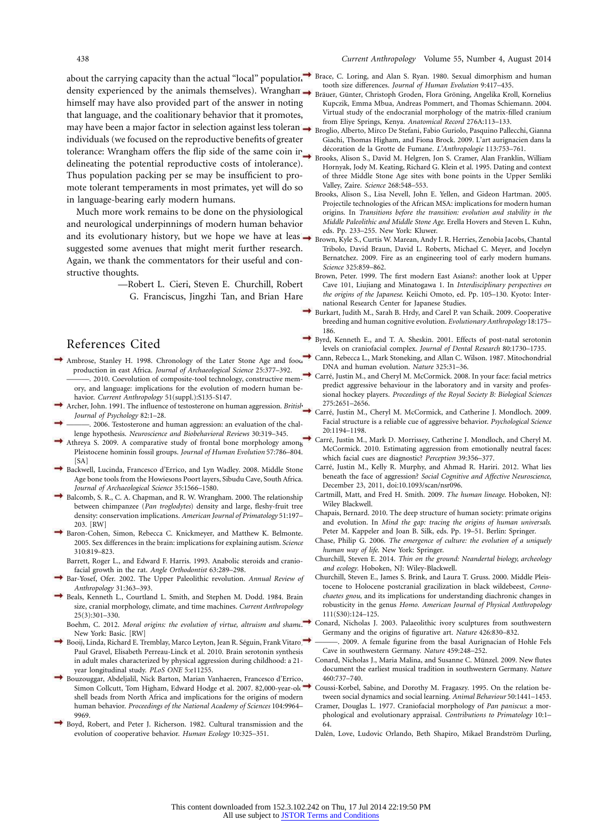about the carrying capacity than the actual "local" population density experienced by the animals themselves). Wranghan → tooth size differences. *Journal of Human Evolution* 9:417–435.<br>Register, Günter, Christoph Groden, Flora Gröning, Angelika Kro himself may have also provided part of the answer in noting that language, and the coalitionary behavior that it promotes, may have been a major factor in selection against less toleran → Broglio, Alberto, Mirco De Stefani, Fabio Guriolo, Pasquino Palle individuals (we focused on the reproductive benefits of greater tolerance: Wrangham offers the flip side of the same coin in delineating the potential reproductive costs of intolerance). Thus population packing per se may be insufficient to promote tolerant temperaments in most primates, yet will do so in language-bearing early modern humans.

Much more work remains to be done on the physiological and neurological underpinnings of modern human behavior and its evolutionary history, but we hope we have at leas  $\rightarrow$ suggested some avenues that might merit further research. Again, we thank the commentators for their useful and constructive thoughts.

> —Robert L. Cieri, Steven E. Churchill, Robert G. Franciscus, Jingzhi Tan, and Brian Hare

### References Cited

- Ambrose, Stanley H. 1998. Chronology of the Later Stone Age and food production in east Africa. *Journal of Archaeological Science* 25:377–392. ———. 2010. Coevolution of composite-tool technology, constructive memory, and language: implications for the evolution of modern human behavior. *Current Anthropology* 51(suppl.):S135-S147.
- Archer, John. 1991. The influence of testosterone on human aggression. *British Journal of Psychology* 82:1–28.
- 2006. Testosterone and human aggression: an evaluation of the challenge hypothesis. *Neuroscience and Biobehavioral Reviews* 30:319–345.
- Athreya S. 2009. A comparative study of frontal bone morphology among Pleistocene hominin fossil groups. *Journal of Human Evolution* 57:786–804. [SA]
- Backwell, Lucinda, Francesco d'Errico, and Lyn Wadley. 2008. Middle Stone Age bone tools from the Howiesons Poort layers, Sibudu Cave, South Africa. *Journal of Archaeological Science* 35:1566–1580.
- Balcomb, S. R., C. A. Chapman, and R. W. Wrangham. 2000. The relationship between chimpanzee (*Pan troglodytes*) density and large, fleshy-fruit tree density: conservation implications. *American Journal of Primatology* 51:197– 203. [RW]
- Baron-Cohen, Simon, Rebecca C. Knickmeyer, and Matthew K. Belmonte. 2005. Sex differences in the brain: implications for explaining autism. *Science* 310:819–823.
	- Barrett, Roger L., and Edward F. Harris. 1993. Anabolic steroids and craniofacial growth in the rat. *Angle Orthodontist* 63:289–298.
- Bar-Yosef, Ofer. 2002. The Upper Paleolithic revolution. *Annual Review of Anthropology* 31:363–393.
- Beals, Kenneth L., Courtland L. Smith, and Stephen M. Dodd. 1984. Brain size, cranial morphology, climate, and time machines. *Current Anthropology* 25(3):301–330.
	- Boehm, C. 2012. *Moral origins: the evolution of virtue, altruism and shame*. New York: Basic. [RW]
- Booij, Linda, Richard E. Tremblay, Marco Leyton, Jean R. Séguin, Frank Vitaro, Paul Gravel, Elisabeth Perreau-Linck et al. 2010. Brain serotonin synthesis in adult males characterized by physical aggression during childhood: a 21 year longitudinal study. *PLoS ONE* 5:e11255.
- Bouzouggar, Abdeljalil, Nick Barton, Marian Vanhaeren, Francesco d'Errico, Simon Collcutt, Tom Higham, Edward Hodge et al. 2007. 82,000-year-old shell beads from North Africa and implications for the origins of modern human behavior. *Proceedings of the National Academy of Sciences* 104:9964– 9969.
- Boyd, Robert, and Peter J. Richerson. 1982. Cultural transmission and the evolution of cooperative behavior. *Human Ecology* 10:325–351.
- Brace, C. Loring, and Alan S. Ryan. 1980. Sexual dimorphism and human
- Bräuer, Günter, Christoph Groden, Flora Gröning, Angelika Kroll, Kornelius Kupczik, Emma Mbua, Andreas Pommert, and Thomas Schiemann. 2004. Virtual study of the endocranial morphology of the matrix-filled cranium
- Broglio, Alberto, Mirco De Stefani, Fabio Guriolo, Pasquino Pallecchi, Gianna Giachi, Thomas Higham, and Fiona Brock. 2009. L'art aurignacien dans la de´coration de la Grotte de Fumane. *L'Anthropologie* 113:753–761.
- Brooks, Alison S., David M. Helgren, Jon S. Cramer, Alan Franklin, William Hornyak, Jody M. Keating, Richard G. Klein et al. 1995. Dating and context of three Middle Stone Age sites with bone points in the Upper Semliki Valley, Zaire. *Science* 268:548–553.
- Brooks, Alison S., Lisa Nevell, John E. Yellen, and Gideon Hartman. 2005. Projectile technologies of the African MSA: implications for modern human origins. In *Transitions before the transition: evolution and stability in the Middle Paleolithic and Middle Stone Age*. Erella Hovers and Steven L. Kuhn, eds. Pp. 233–255. New York: Kluwer.
- Brown, Kyle S., Curtis W. Marean, Andy I. R. Herries, Zenobia Jacobs, Chantal Tribolo, David Braun, David L. Roberts, Michael C. Meyer, and Jocelyn Bernatchez. 2009. Fire as an engineering tool of early modern humans. *Science* 325:859–862.
- Brown, Peter. 1999. The first modern East Asians?: another look at Upper Cave 101, Liujiang and Minatogawa 1. In *Interdisciplinary perspectives on the origins of the Japanese*. Keiichi Omoto, ed. Pp. 105–130. Kyoto: International Research Center for Japanese Studies.
- Burkart, Judith M., Sarah B. Hrdy, and Carel P. van Schaik. 2009. Cooperative breeding and human cognitive evolution. *Evolutionary Anthropology* 18:175– 186.
- Byrd, Kenneth E., and T. A. Sheskin. 2001. Effects of post-natal serotonin levels on craniofacial complex. *Journal of Dental Research* 80:1730–1735.
- Cann, Rebecca L., Mark Stoneking, and Allan C. Wilson. 1987. Mitochondrial DNA and human evolution. *Nature* 325:31–36.
- Carré, Justin M., and Cheryl M. McCormick. 2008. In your face: facial metrics predict aggressive behaviour in the laboratory and in varsity and professional hockey players. *Proceedings of the Royal Society B: Biological Sciences* 275:2651–2656.
- Carre´, Justin M., Cheryl M. McCormick, and Catherine J. Mondloch. 2009. Facial structure is a reliable cue of aggressive behavior. *Psychological Science* 20:1194–1198.
- Carré, Justin M., Mark D. Morrissey, Catherine J. Mondloch, and Cheryl M. McCormick. 2010. Estimating aggression from emotionally neutral faces: which facial cues are diagnostic? *Perception* 39:356–377.
- Carré, Justin M., Kelly R. Murphy, and Ahmad R. Hariri. 2012. What lies beneath the face of aggression? *Social Cognitive and Affective Neuroscience*, December 23, 2011, doi:10.1093/scan/nsr096.
- Cartmill, Matt, and Fred H. Smith. 2009. *The human lineage*. Hoboken, NJ: Wiley Blackwell.
- Chapais, Bernard. 2010. The deep structure of human society: primate origins and evolution. In *Mind the gap: tracing the origins of human universals*. Peter M. Kappeler and Joan B. Silk, eds. Pp. 19–51. Berlin: Springer.
- Chase, Philip G. 2006. *The emergence of culture: the evolution of a uniquely human way of life*. New York: Springer.
- Churchill, Steven E. 2014. *Thin on the ground: Neandertal biology, archeology and ecology*. Hoboken, NJ: Wiley-Blackwell.
- Churchill, Steven E., James S. Brink, and Laura T. Gruss. 2000. Middle Pleistocene to Holocene postcranial gracilization in black wildebeest, *Connochaetes gnou*, and its implications for understanding diachronic changes in robusticity in the genus *Homo*. *American Journal of Physical Anthropology* 111(S30):124–125.
- Conard, Nicholas J. 2003. Palaeolithic ivory sculptures from southwestern Germany and the origins of figurative art. *Nature* 426:830–832.
- ———. 2009. A female figurine from the basal Aurignacian of Hohle Fels Cave in southwestern Germany. *Nature* 459:248–252.
- Conard, Nicholas J., Maria Malina, and Susanne C. Münzel. 2009. New flutes document the earliest musical tradition in southwestern Germany. *Nature* 460:737–740.
- Coussi-Korbel, Sabine, and Dorothy M. Fragaszy. 1995. On the relation between social dynamics and social learning. *Animal Behaviour* 50:1441–1453.
- Cramer, Douglas L. 1977. Craniofacial morphology of *Pan paniscus*: a morphological and evolutionary appraisal. *Contributions to Primatology* 10:1– 64.
- Dalén, Love, Ludovic Orlando, Beth Shapiro, Mikael Brandström Durling,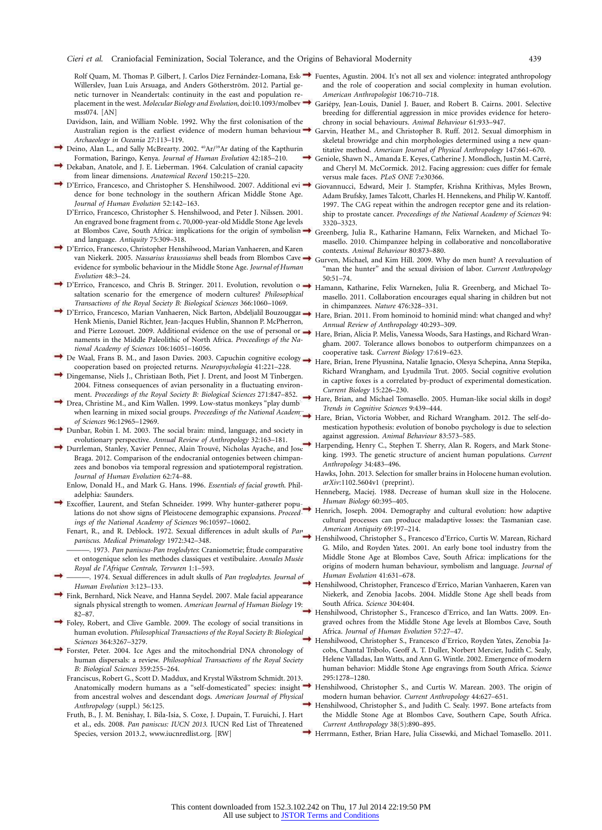Willerslev, Juan Luis Arsuaga, and Anders Götherström. 2012. Partial genetic turnover in Neandertals: continuity in the east and population replacement in the west. *Molecular Biology and Evolution*, doi:10.1093/molbev/ mss074. [AN]

- Davidson, Iain, and William Noble. 1992. Why the first colonisation of the Australian region is the earliest evidence of modern human behaviour. *Archaeology in Oceania* 27:113–119.
- Deino, Alan L., and Sally McBrearty. 2002. <sup>40</sup>Ar/<sup>39</sup>Ar dating of the Kapthurin Formation, Baringo, Kenya. *Journal of Human Evolution* 42:185–210.
- Dekaban, Anatole, and J. E. Lieberman. 1964. Calculation of cranial capacity from linear dimensions. *Anatomical Record* 150:215–220.
- D'Errico, Francesco, and Christopher S. Henshilwood. 2007. Additional evidence for bone technology in the southern African Middle Stone Age. *Journal of Human Evolution* 52:142–163.
	- D'Errico, Francesco, Christopher S. Henshilwood, and Peter J. Nilssen. 2001. An engraved bone fragment from c. 70,000-year-old Middle Stone Age levels at Blombos Cave, South Africa: implications for the origin of symbolism and language. *Antiquity* 75:309–318.
- D'Errico, Francesco, Christopher Henshilwood, Marian Vanhaeren, and Karen van Niekerk. 2005. *Nassarius kraussianus* shell beads from Blombos Cave: evidence for symbolic behaviour in the Middle Stone Age. *Journal of Human Evolution* 48:3–24.
- D'Errico, Francesco, and Chris B. Stringer. 2011. Evolution, revolution o saltation scenario for the emergence of modern cultures? *Philosophical Transactions of the Royal Society B: Biological Sciences* 366:1060–1069.
- → D'Errico, Francesco, Marian Vanhaeren, Nick Barton, Abdeljalil Bouzouggar→ Henk Mienis, Daniel Richter, Jean-Jacques Hublin, Shannon P. McPherron, and Pierre Lozouet. 2009. Additional evidence on the use of personal ornaments in the Middle Paleolithic of North Africa. *Proceedings of the National Academy of Sciences* 106:16051–16056.
- De Waal, Frans B. M., and Jason Davies. 2003. Capuchin cognitive ecology cooperation based on projected returns. *Neuropsychologia* 41:221–228.
- Dingemanse, Niels J., Christiaan Both, Piet J. Drent, and Joost M Tinbergen. 2004. Fitness consequences of avian personality in a fluctuating environment. *Proceedings of the Royal Society B: Biological Sciences* 271:847–852.
- Drea, Christine M., and Kim Wallen. 1999. Low-status monkeys "play dumb" when learning in mixed social groups. *Proceedings of the National Academ of Sciences* 96:12965–12969.
- Dunbar, Robin I. M. 2003. The social brain: mind, language, and society in evolutionary perspective. *Annual Review of Anthropology* 32:163–181.
- Durrleman, Stanley, Xavier Pennec, Alain Trouvé, Nicholas Ayache, and Jose Braga. 2012. Comparison of the endocranial ontogenies between chimpanzees and bonobos via temporal regression and spatiotemporal registration. *Journal of Human Evolution* 62:74–88.
	- Enlow, Donald H., and Mark G. Hans. 1996. *Essentials of facial growth*. Philadelphia: Saunders.
- Excoffier, Laurent, and Stefan Schneider. 1999. Why hunter-gatherer populations do not show signs of Pleistocene demographic expansions. *Proceedings of the National Academy of Sciences* 96:10597–10602.
	- Fenart, R., and R. Deblock. 1972. Sexual differences in adult skulls of *Pan paniscus*. *Medical Primatology* 1972:342–348.
	- ———. 1973. *Pan paniscus-Pan troglodytes*: Craniometrie; E´tude comparative et ontogenique selon les methodes classiques et vestibulaire. *Annales Musée Royal de l'Afrique Centrale, Tervuren* 1:1–593.
- ———. 1974. Sexual differences in adult skulls of *Pan troglodytes*. *Journal of Human Evolution* 3:123–133.
- Fink, Bernhard, Nick Neave, and Hanna Seydel. 2007. Male facial appearance signals physical strength to women. *American Journal of Human Biology* 19: 82–87.
- Foley, Robert, and Clive Gamble. 2009. The ecology of social transitions in human evolution. *Philosophical Transactions of the Royal Society B: Biological Sciences* 364:3267–3279.
- Forster, Peter. 2004. Ice Ages and the mitochondrial DNA chronology of human dispersals: a review. *Philosophical Transactions of the Royal Society B: Biological Sciences* 359:255–264.
	- Franciscus, Robert G., Scott D. Maddux, and Krystal Wikstrom Schmidt. 2013. Anatomically modern humans as a "self-domesticated" species: insight. from ancestral wolves and descendant dogs. *American Journal of Physical Anthropology* (suppl.) 56:125.
	- Fruth, B., J. M. Benishay, I. Bila-Isia, S. Coxe, J. Dupain, T. Furuichi, J. Hart et al., eds. 2008. *Pan paniscus: IUCN 2013*. IUCN Red List of Threatened Species, version 2013.2, [www.iucnredlist.org.](http://www.iucnredlist.org) [RW]
- Rolf Quam, M. Thomas P. Gilbert, J. Carlos Díez Fernández-Lomana, Esk → Fuentes, Agustin. 2004. It's not all sex and violence: integrated anthropology and the role of cooperation and social complexity in human evolution. *American Anthropologist* 106:710–718.
	- Gariépy, Jean-Louis, Daniel J. Bauer, and Robert B. Cairns. 2001. Selective breeding for differential aggression in mice provides evidence for heterochrony in social behaviours. *Animal Behaviour* 61:933–947.
	- Garvin, Heather M., and Christopher B. Ruff. 2012. Sexual dimorphism in skeletal browridge and chin morphologies determined using a new quantitative method. *American Journal of Physical Anthropology* 147:661–670.
	- Geniole, Shawn N., Amanda E. Keyes, Catherine J. Mondloch, Justin M. Carré, and Cheryl M. McCormick. 2012. Facing aggression: cues differ for female versus male faces. *PLoS ONE* 7:e30366.
	- Giovannucci, Edward, Meir J. Stampfer, Krishna Krithivas, Myles Brown, Adam Brufsky, James Talcott, Charles H. Hennekens, and Philip W. Kantoff. 1997. The CAG repeat within the androgen receptor gene and its relationship to prostate cancer. *Proceedings of the National Academy of Sciences* 94: 3320–3323.
	- Greenberg, Julia R., Katharine Hamann, Felix Warneken, and Michael Tomasello. 2010. Chimpanzee helping in collaborative and noncollaborative contexts. *Animal Behaviour* 80:873–880.
	- Gurven, Michael, and Kim Hill. 2009. Why do men hunt? A reevaluation of "man the hunter" and the sexual division of labor. *Current Anthropology* 50:51–74.
	- Hamann, Katharine, Felix Warneken, Julia R. Greenberg, and Michael Tomasello. 2011. Collaboration encourages equal sharing in children but not in chimpanzees. *Nature* 476:328–331.
	- Hare, Brian. 2011. From hominoid to hominid mind: what changed and why? *Annual Review of Anthropology* 40:293–309.
	- Hare, Brian, Alicia P. Melis, Vanessa Woods, Sara Hastings, and Richard Wrangham. 2007. Tolerance allows bonobos to outperform chimpanzees on a cooperative task. *Current Biology* 17:619–623.
	- Hare, Brian, Irene Plyusnina, Natalie Ignacio, Olesya Schepina, Anna Stepika, Richard Wrangham, and Lyudmila Trut. 2005. Social cognitive evolution in captive foxes is a correlated by-product of experimental domestication. *Current Biology* 15:226–230.
		- Hare, Brian, and Michael Tomasello. 2005. Human-like social skills in dogs? *Trends in Cognitive Sciences* 9:439–444.
		- Hare, Brian, Victoria Wobber, and Richard Wrangham. 2012. The self-domestication hypothesis: evolution of bonobo psychology is due to selection against aggression. *Animal Behaviour* 83:573–585.
		- Harpending, Henry C., Stephen T. Sherry, Alan R. Rogers, and Mark Stoneking. 1993. The genetic structure of ancient human populations. *Current Anthropology* 34:483–496.
		- Hawks, John. 2013. Selection for smaller brains in Holocene human evolution. *arXiv*:1102.5604v1 (preprint).
		- Henneberg, Maciej. 1988. Decrease of human skull size in the Holocene. *Human Biology* 60:395–405.
		- Henrich, Joseph. 2004. Demography and cultural evolution: how adaptive cultural processes can produce maladaptive losses: the Tasmanian case. *American Antiquity* 69:197–214.
		- Henshilwood, Christopher S., Francesco d'Errico, Curtis W. Marean, Richard G. Milo, and Royden Yates. 2001. An early bone tool industry from the Middle Stone Age at Blombos Cave, South Africa: implications for the origins of modern human behaviour, symbolism and language. *Journal of Human Evolution* 41:631–678.
		- Henshilwood, Christopher, Francesco d'Errico, Marian Vanhaeren, Karen van Niekerk, and Zenobia Jacobs. 2004. Middle Stone Age shell beads from South Africa. *Science* 304:404.
		- Henshilwood, Christopher S., Francesco d'Errico, and Ian Watts. 2009. Engraved ochres from the Middle Stone Age levels at Blombos Cave, South Africa. *Journal of Human Evolution* 57:27–47.
		- Henshilwood, Christopher S., Francesco d'Errico, Royden Yates, Zenobia Jacobs, Chantal Tribolo, Geoff A. T. Duller, Norbert Mercier, Judith C. Sealy, Helene Valladas, Ian Watts, and Ann G. Wintle. 2002. Emergence of modern human behavior: Middle Stone Age engravings from South Africa. *Science* 295:1278–1280.
	- Henshilwood, Christopher S., and Curtis W. Marean. 2003. The origin of modern human behavior. *Current Anthropology* 44:627–651.
	- Henshilwood, Christopher S., and Judith C. Sealy. 1997. Bone artefacts from the Middle Stone Age at Blombos Cave, Southern Cape, South Africa. *Current Anthropology* 38(5):890–895.
	- Herrmann, Esther, Brian Hare, Julia Cissewki, and Michael Tomasello. 2011.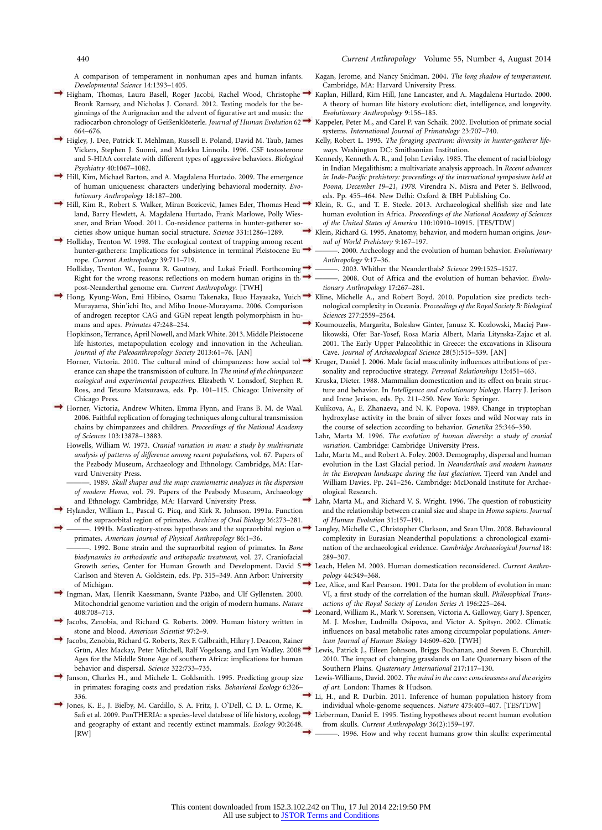A comparison of temperament in nonhuman apes and human infants. *Developmental Science* 14:1393–1405.

- Higham, Thomas, Laura Basell, Roger Jacobi, Rachel Wood, Christophe Bronk Ramsey, and Nicholas J. Conard. 2012. Testing models for the beginnings of the Aurignacian and the advent of figurative art and music: the radiocarbon chronology of Geißenklösterle. *Journal of Human Evolution* 62 → 664–676.
- Higley, J. Dee, Patrick T. Mehlman, Russell E. Poland, David M. Taub, James Vickers, Stephen J. Suomi, and Markku Linnoila. 1996. CSF testosterone and 5-HIAA correlate with different types of aggressive behaviors. *Biological Psychiatry* 40:1067–1082.
- Hill, Kim, Michael Barton, and A. Magdalena Hurtado. 2009. The emergence of human uniqueness: characters underlying behavioral modernity. *Evolutionary Anthropology* 18:187–200.
- Hill, Kim R., Robert S. Walker, Miran Bozicević, James Eder, Thomas Head<sup>+</sup> land, Barry Hewlett, A. Magdalena Hurtado, Frank Marlowe, Polly Wiessner, and Brian Wood. 2011. Co-residence patterns in hunter-gatherer societies show unique human social structure. *Science* 331:1286–1289.
- Holliday, Trenton W. 1998. The ecological context of trapping among recent hunter-gatherers: Implications for subsistence in terminal Pleistocene Europe. *Current Anthropology* 39:711–719.
- Holliday, Trenton W., Joanna R. Gautney, and Lukaš Friedl. Forthcoming. Right for the wrong reasons: reflections on modern human origins in th post-Neanderthal genome era. *Current Anthropology*. [TWH]
- Hong, Kyung-Won, Emi Hibino, Osamu Takenaka, Ikuo Hayasaka, Yuichi Murayama, Shin'ichi Ito, and Miho Inoue-Murayama. 2006. Comparison of androgen receptor CAG and GGN repeat length polymorphism in humans and apes. *Primates* 47:248–254.
	- Hopkinson, Terrance, April Nowell, and Mark White. 2013. Middle Pleistocene life histories, metapopulation ecology and innovation in the Acheulian. *Journal of the Paleoanthropology Society* 2013:61–76. [AN]
	- Horner, Victoria. 2010. The cultural mind of chimpanzees: how social tol  $\rightarrow$ erance can shape the transmission of culture. In *The mind of the chimpanzee: ecological and experimental perspectives*. Elizabeth V. Lonsdorf, Stephen R. Ross, and Tetsuro Matsuzawa, eds. Pp. 101–115. Chicago: University of Chicago Press.
- Horner, Victoria, Andrew Whiten, Emma Flynn, and Frans B. M. de Waal. 2006. Faithful replication of foraging techniques along cultural transmission chains by chimpanzees and children. *Proceedings of the National Academy of Sciences* 103:13878–13883.
	- Howells, William W. 1973. *Cranial variation in man: a study by multivariate analysis of patterns of difference among recent populations*, vol. 67. Papers of the Peabody Museum, Archaeology and Ethnology. Cambridge, MA: Harvard University Press.
	- ———. 1989. *Skull shapes and the map: craniometric analyses in the dispersion of modern Homo*, vol. 79. Papers of the Peabody Museum, Archaeology and Ethnology. Cambridge, MA: Harvard University Press.
- Hylander, William L., Pascal G. Picq, and Kirk R. Johnson. 1991a. Function of the supraorbital region of primates. *Archives of Oral Biology* 36:273–281.
- -. 1991b. Masticatory-stress hypotheses and the supraorbital region of  $\rightarrow$ primates. *American Journal of Physical Anthropology* 86:1–36.
	- ———. 1992. Bone strain and the supraorbital region of primates. In *Bone biodynamics in orthodontic and orthopedic treatment*, vol. 27. Craniofacial Carlson and Steven A. Goldstein, eds. Pp. 315–349. Ann Arbor: University of Michigan.
- ◆ Ingman, Max, Henrik Kaessmann, Svante Pääbo, and Ulf Gyllensten. 2000. Mitochondrial genome variation and the origin of modern humans. *Nature* 408:708–713.
- Jacobs, Zenobia, and Richard G. Roberts. 2009. Human history written in stone and blood. *American Scientist* 97:2–9.
- Jacobs, Zenobia, Richard G. Roberts, Rex F. Galbraith, Hilary J. Deacon, Rainer Grün, Alex Mackay, Peter Mitchell, Ralf Vogelsang, and Lyn Wadley. 2008. Ages for the Middle Stone Age of southern Africa: implications for human behavior and dispersal. *Science* 322:733–735.
- Janson, Charles H., and Michele L. Goldsmith. 1995. Predicting group size in primates: foraging costs and predation risks. *Behavioral Ecology* 6:326– 336.
- Jones, K. E., J. Bielby, M. Cardillo, S. A. Fritz, J. O'Dell, C. D. L. Orme, K. Safi et al. 2009. PanTHERIA: a species-level database of life history, ecology, and geography of extant and recently extinct mammals. *Ecology* 90:2648. [RW]
- Kagan, Jerome, and Nancy Snidman. 2004. *The long shadow of temperament*. Cambridge, MA: Harvard University Press.
- Kaplan, Hillard, Kim Hill, Jane Lancaster, and A. Magdalena Hurtado. 2000. A theory of human life history evolution: diet, intelligence, and longevity. *Evolutionary Anthropology* 9:156–185.
- Kappeler, Peter M., and Carel P. van Schaik. 2002. Evolution of primate social systems. *International Journal of Primatology* 23:707–740.
- Kelly, Robert L. 1995. *The foraging spectrum: diversity in hunter-gatherer lifeways*. Washington DC: Smithsonian Institution.
- Kennedy, Kenneth A. R., and John Levisky. 1985. The element of racial biology in Indian Megalithism: a multivariate analysis approach. In *Recent advances in Indo-Pacific prehistory: proceedings of the international symposium held at Poona, December 19–21, 1978*. Virendra N. Misra and Peter S. Bellwood, eds. Pp. 455–464. New Delhi: Oxford & IBH Publishing Co.
- Klein, R. G., and T. E. Steele. 2013. Archaeological shellfish size and late human evolution in Africa. *Proceedings of the National Academy of Sciences of the United States of America* 110:10910–10915. [TES/TDW]
- Klein, Richard G. 1995. Anatomy, behavior, and modern human origins. *Journal of World Prehistory* 9:167–197.
- ———. 2000. Archeology and the evolution of human behavior. *Evolutionary Anthropology* 9:17–36.
- ———. 2003. Whither the Neanderthals? *Science* 299:1525–1527.
- ———. 2008. Out of Africa and the evolution of human behavior. *Evolutionary Anthropology* 17:267–281.
- Kline, Michelle A., and Robert Boyd. 2010. Population size predicts technological complexity in Oceania. *Proceedings of the Royal Society B: Biological Sciences* 277:2559–2564.
- Koumouzelis, Margarita, Boleslaw Ginter, Janusz K. Kozlowski, Maciej Pawlikowski, Ofer Bar-Yosef, Rosa Maria Albert, Maria Litynska-Zajac et al. 2001. The Early Upper Palaeolithic in Greece: the excavations in Klisoura Cave. *Journal of Archaeological Science* 28(5):515–539. [AN]
- Kruger, Daniel J. 2006. Male facial masculinity influences attributions of personality and reproductive strategy. *Personal Relationships* 13:451–463.
- Kruska, Dieter. 1988. Mammalian domestication and its effect on brain structure and behavior. In *Intelligence and evolutionary biology*. Harry J. Jerison and Irene Jerison, eds. Pp. 211–250. New York: Springer.
- Kulikova, A., E. Zhanaeva, and N. K. Popova. 1989. Change in tryptophan hydroxylase activity in the brain of silver foxes and wild Norway rats in the course of selection according to behavior. *Genetika* 25:346–350.
- Lahr, Marta M. 1996. *The evolution of human diversity: a study of cranial variation*. Cambridge: Cambridge University Press.
- Lahr, Marta M., and Robert A. Foley. 2003. Demography, dispersal and human evolution in the Last Glacial period. In *Neanderthals and modern humans in the European landscape during the last glaciation*. Tjeerd van Andel and William Davies. Pp. 241–256. Cambridge: McDonald Institute for Archaeological Research.
- Lahr, Marta M., and Richard V. S. Wright. 1996. The question of robusticity and the relationship between cranial size and shape in *Homo sapiens*. *Journal of Human Evolution* 31:157–191.
- Langley, Michelle C., Christopher Clarkson, and Sean Ulm. 2008. Behavioural complexity in Eurasian Neanderthal populations: a chronological examination of the archaeological evidence. *Cambridge Archaeological Journal* 18: 289–307.
- Growth series, Center for Human Growth and Development. David S. Leach, Helen M. 2003. Human domestication reconsidered. *Current Anthropology* 44:349–368.
	- Lee, Alice, and Karl Pearson. 1901. Data for the problem of evolution in man: VI, a first study of the correlation of the human skull. *Philosophical Transactions of the Royal Society of London Series A* 196:225–264.
	- Leonard, William R., Mark V. Sorensen, Victoria A. Galloway, Gary J. Spencer, M. J. Mosher, Ludmilla Osipova, and Victor A. Spitsyn. 2002. Climatic influences on basal metabolic rates among circumpolar populations. *American Journal of Human Biology* 14:609–620. [TWH]
	- ewis, Patrick J., Eileen Johnson, Briggs Buchanan, and Steven E. Churchill. 2010. The impact of changing grasslands on Late Quaternary bison of the Southern Plains. *Quaternary International* 217:117–130.
	- Lewis-Williams, David. 2002. *The mind in the cave: consciousness and the origins of art*. London: Thames & Hudson.
	- Li, H., and R. Durbin. 2011. Inference of human population history from individual whole-genome sequences. *Nature* 475:403–407. [TES/TDW]
	- Lieberman, Daniel E. 1995. Testing hypotheses about recent human evolution from skulls. *Current Anthropology* 36(2):159–197.
	- -. 1996. How and why recent humans grow thin skulls: experimental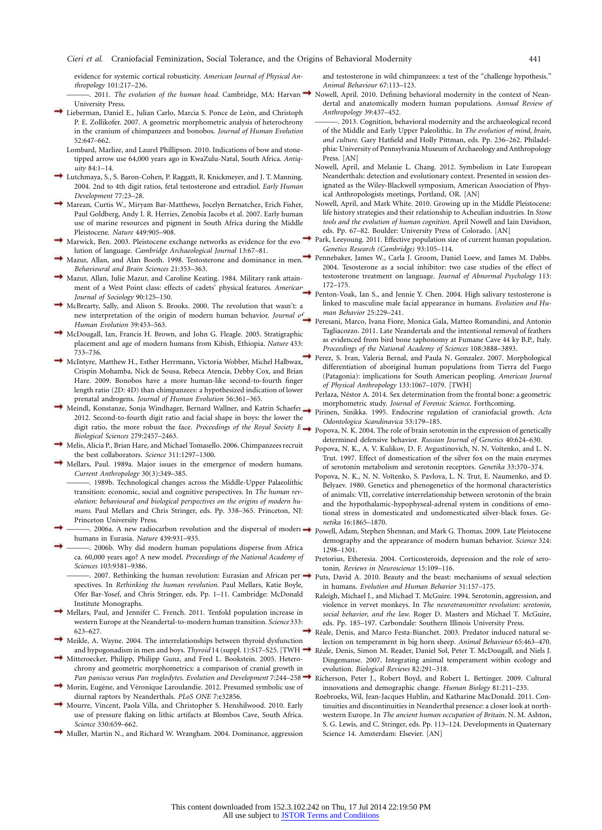evidence for systemic cortical robusticity. *American Journal of Physical Anthropology* 101:217–236.

- ———. 2011. *The evolution of the human head*. Cambridge, MA: Harvard Nowell, April. 2010. Defining behavioral modernity in the context of Nean-University Press.
- Lieberman, Daniel E., Julian Carlo, Marcia S. Ponce de León, and Christoph P. E. Zollikofer. 2007. A geometric morphometric analysis of heterochrony in the cranium of chimpanzees and bonobos. *Journal of Human Evolution* 52:647–662.
	- Lombard, Marlize, and Laurel Phillipson. 2010. Indications of bow and stonetipped arrow use 64,000 years ago in KwaZulu-Natal, South Africa. *Antiquity* 84:1–14.
- Lutchmaya, S., S. Baron-Cohen, P. Raggatt, R. Knickmeyer, and J. T. Manning. 2004. 2nd to 4th digit ratios, fetal testosterone and estradiol. *Early Human Development* 77:23–28.
- Marean, Curtis W., Miryam Bar-Matthews, Jocelyn Bernatchez, Erich Fisher, Paul Goldberg, Andy I. R. Herries, Zenobia Jacobs et al. 2007. Early human use of marine resources and pigment in South Africa during the Middle Pleistocene. *Nature* 449:905–908.
- Marwick, Ben. 2003. Pleistocene exchange networks as evidence for the evolution of language. *Cambridge Archaeological Journal* 13:67–81.
- Mazur, Allan, and Alan Booth. 1998. Testosterone and dominance in men. *Behavioural and Brain Sciences* 21:353–363.
- Mazur, Allan, Julie Mazur, and Caroline Keating. 1984. Military rank attainment of a West Point class: effects of cadets' physical features. *American Journal of Sociology* 90:125–150.
- McBrearty, Sally, and Alison S. Brooks. 2000. The revolution that wasn't: a new interpretation of the origin of modern human behavior. *Journal of Human Evolution* 39:453–563.
- McDougall, Ian, Francis H. Brown, and John G. Fleagle. 2005. Stratigraphic placement and age of modern humans from Kibish, Ethiopia. *Nature* 433: 733–736.
- McIntyre, Matthew H., Esther Herrmann, Victoria Wobber, Michel Halbwax, Crispin Mohamba, Nick de Sousa, Rebeca Atencia, Debby Cox, and Brian Hare. 2009. Bonobos have a more human-like second-to-fourth finger length ratio (2D: 4D) than chimpanzees: a hypothesized indication of lower prenatal androgens. *Journal of Human Evolution* 56:361–365.
- Meindl, Konstanze, Sonja Windhager, Bernard Wallner, and Katrin Schaefer. 2012. Second-to-fourth digit ratio and facial shape in boys: the lower the digit ratio, the more robust the face. *Proceedings of the Royal Society B: Biological Sciences* 279:2457–2463.
- Melis, Alicia P., Brian Hare, and Michael Tomasello. 2006. Chimpanzees recruit the best collaborators. *Science* 311:1297–1300.
- Mellars, Paul. 1989a. Major issues in the emergence of modern humans. *Current Anthropology* 30(3):349–385.
	- 1989b. Technological changes across the Middle-Upper Palaeolithic transition: economic, social and cognitive perspectives. In *The human revolution: behavioural and biological perspectives on the origins of modern humans*. Paul Mellars and Chris Stringer, eds. Pp. 338–365. Princeton, NJ: Princeton University Press.
- ———. 2006a. A new radiocarbon revolution and the dispersal of modern → powell, Adam, Stephen Shennan, and Mark G. Thomas. 2009. Late Pleistocene humans in Eurasia. *Nature* 439:931–935.
	- -. 2006b. Why did modern human populations disperse from Africa ca. 60,000 years ago? A new model. *Proceedings of the National Academy of Sciences* 103:9381–9386.
	- $-$ , 2007. Rethinking the human revolution: Eurasian and African per $\rightarrow$ spectives. In *Rethinking the human revolution*. Paul Mellars, Katie Boyle, Ofer Bar-Yosef, and Chris Stringer, eds. Pp. 1–11. Cambridge: McDonald Institute Monographs.
- Mellars, Paul, and Jennifer C. French. 2011. Tenfold population increase in western Europe at the Neandertal-to-modern human transition. *Science* 333: 623–627.
- Meikle, A. Wayne. 2004. The interrelationships between thyroid dysfunction and hypogonadism in men and boys. *Thyroid* 14 (suppl. 1):S17–S25. [TWH]
- Mitteroecker, Philipp, Philipp Gunz, and Fred L. Bookstein. 2005. Heterochrony and geometric morphometrics: a comparison of cranial growth in *Pan paniscus* versus *Pan troglodytes*. *Evolution and Development* 7:244–258.
- Morin, Eugéne, and Véronique Laroulandie. 2012. Presumed symbolic use of diurnal raptors by Neanderthals. *PLoS ONE* 7:e32856.
- Mourre, Vincent, Paola Villa, and Christopher S. Henshilwood. 2010. Early use of pressure flaking on lithic artifacts at Blombos Cave, South Africa. *Science* 330:659–662.
- Muller, Martin N., and Richard W. Wrangham. 2004. Dominance, aggression

and testosterone in wild chimpanzees: a test of the "challenge hypothesis." *Animal Behaviour* 67:113–123.

- dertal and anatomically modern human populations. *Annual Review of Anthropology* 39:437–452.
- ———. 2013. Cognition, behavioral modernity and the archaeological record of the Middle and Early Upper Paleolithic. In *The evolution of mind, brain, and culture*. Gary Hatfield and Holly Pittman, eds. Pp. 236–262. Philadelphia: University of Pennsylvania Museum of Archaeology and Anthropology Press. [AN]
- Nowell, April, and Melanie L. Chang. 2012. Symbolism in Late European Neanderthals: detection and evolutionary context. Presented in session designated as the Wiley-Blackwell symposium, American Association of Physical Anthropologists meetings, Portland, OR. [AN]
- Nowell, April, and Mark White. 2010. Growing up in the Middle Pleistocene: life history strategies and their relationship to Acheulian industries. In *Stone tools and the evolution of human cognition*. April Nowell and Iain Davidson, eds. Pp. 67–82. Boulder: University Press of Colorado. [AN]
- Park, Leeyoung. 2011. Effective population size of current human population. *Genetics Research (Cambridge)* 93:105–114.
- Pennebaker, James W., Carla J. Groom, Daniel Loew, and James M. Dabbs. 2004. Tesosterone as a social inhibitor: two case studies of the effect of testosterone treatment on language. *Journal of Abnormal Psychology* 113: 172–175.
- Penton-Voak, Ian S., and Jennie Y. Chen. 2004. High salivary testosterone is linked to masculine male facial appearance in humans. *Evolution and Human Behavior* 25:229–241.
- Peresani, Marco, Ivana Fiore, Monica Gala, Matteo Romandini, and Antonio Tagliacozzo. 2011. Late Neandertals and the intentional removal of feathers as evidenced from bird bone taphonomy at Fumane Cave 44 ky B.P., Italy. *Proceedings of the National Academy of Sciences* 108:3888–3893.
- Perez, S. Ivan, Valeria Bernal, and Paula N. Gonzalez. 2007. Morphological differentiation of aboriginal human populations from Tierra del Fuego (Patagonia): implications for South American peopling. *American Journal of Physical Anthropology* 133:1067–1079. [TWH]
- Perlaza, Néstor A. 2014. Sex determination from the frontal bone: a geometric morphometric study. *Journal of Forensic Science*. Forthcoming.
- Pirinen, Sinikka. 1995. Endocrine regulation of craniofacial growth. *Acta Odontologica Scandinavica* 53:179–185.
- Popova, N. K. 2004. The role of brain serotonin in the expression of genetically determined defensive behavior. *Russian Journal of Genetics* 40:624–630.
- Popova, N. K., A. V. Kulikov, D. F. Avgustinovich, N. N. Voĭtenko, and L. N. Trut. 1997. Effect of domestication of the silver fox on the main enzymes of serotonin metabolism and serotonin receptors. *Genetika* 33:370–374.
- Popova, N. K., N. N. Voĭtenko, S. Pavlova, L. N. Trut, E. Naumenko, and D. Belyaev. 1980. Genetics and phenogenetics of the hormonal characteristics of animals: VII, correlative interrelationship between serotonin of the brain and the hypothalamic-hypophyseal-adrenal system in conditions of emotional stress in domesticated and undomesticated silver-black foxes. *Genetika* 16:1865–1870.
- demography and the appearance of modern human behavior. *Science* 324: 1298–1301.
- Pretorius, Etheresia. 2004. Corticosteroids, depression and the role of serotonin. *Reviews in Neuroscience* 15:109–116.
- Puts, David A. 2010. Beauty and the beast: mechanisms of sexual selection in humans. *Evolution and Human Behavior* 31:157–175.
- Raleigh, Michael J., and Michael T. McGuire. 1994. Serotonin, aggression, and violence in vervet monkeys. In *The neurotransmitter revolution: serotonin, social behavior, and the law*. Roger D. Masters and Michael T. McGuire, eds. Pp. 185–197. Carbondale: Southern Illinois University Press.
- Réale, Denis, and Marco Festa-Bianchet. 2003. Predator induced natural selection on temperament in big horn sheep. *Animal Behaviour* 65:463–470.
- Réale, Denis, Simon M. Reader, Daniel Sol, Peter T. McDougall, and Niels J. Dingemanse. 2007. Integrating animal temperament within ecology and evolution. *Biological Reviews* 82:291–318.
- Richerson, Peter J., Robert Boyd, and Robert L. Bettinger. 2009. Cultural innovations and demographic change. *Human Biology* 81:211–235.
- Roebroeks, Wil, Jean-Jacques Hublin, and Katharine MacDonald. 2011. Continuities and discontinuities in Neanderthal presence: a closer look at northwestern Europe. In *The ancient human occupation of Britain*. N. M. Ashton, S. G. Lewis, and C. Stringer, eds. Pp. 113–124. Developments in Quaternary Science 14. Amsterdam: Elsevier. [AN]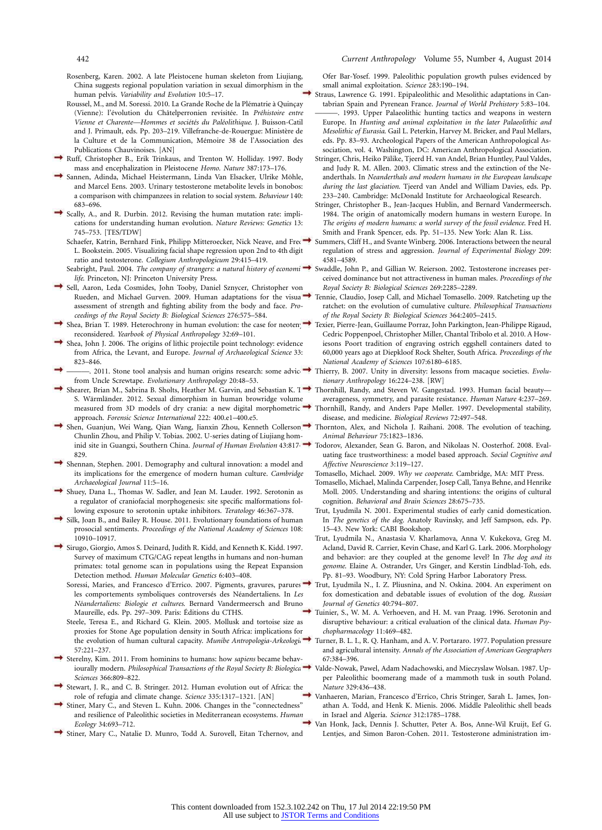- Rosenberg, Karen. 2002. A late Pleistocene human skeleton from Liujiang, China suggests regional population variation in sexual dimorphism in the human pelvis. *Variability and Evolution* 10:5–17.
- Roussel, M., and M. Soressi. 2010. La Grande Roche de la Plématrie à Quinçay (Vienne): l'évolution du Châtelperronien revisitée. In *Préhistoire entre* Vienne et Charente—Hommes et sociétés du Paléolithique. J. Buisson-Catil and J. Primault, eds. Pp. 203-219. Villefranche-de-Rouergue: Ministère de la Culture et de la Communication, Mémoire 38 de l'Association des Publications Chauvinoises. [AN]
- Ruff, Christopher B., Erik Trinkaus, and Trenton W. Holliday. 1997. Body mass and encephalization in Pleistocene *Homo*. *Nature* 387:173–176.
- Sannen, Adinda, Michael Heistermann, Linda Van Elsacker, Ulrike Möhle, and Marcel Eens. 2003. Urinary testosterone metabolite levels in bonobos: a comparison with chimpanzees in relation to social system. *Behaviour* 140: 683–696.
- Scally, A., and R. Durbin. 2012. Revising the human mutation rate: implications for understanding human evolution. *Nature Reviews: Genetics* 13: 745–753. [TES/TDW]
	- Schaefer, Katrin, Bernhard Fink, Philipp Mitteroecker, Nick Neave, and Fred L. Bookstein. 2005. Visualizing facial shape regression upon 2nd to 4th digit ratio and testosterone. *Collegium Anthropologicum* 29:415–419.
	- *life*. Princeton, NJ: Princeton University Press.
- Sell, Aaron, Leda Cosmides, John Tooby, Daniel Sznycer, Christopher von Rueden, and Michael Gurven. 2009. Human adaptations for the visua assessment of strength and fighting ability from the body and face. *Proceedings of the Royal Society B: Biological Sciences* 276:575–584.
- Shea, Brian T. 1989. Heterochrony in human evolution: the case for neoten; reconsidered. *Yearbook of Physical Anthropology* 32:69–101.
- Shea, John J. 2006. The origins of lithic projectile point technology: evidence from Africa, the Levant, and Europe. *Journal of Archaeological Science* 33: 823–846.
- -. 2011. Stone tool analysis and human origins research: some advic from Uncle Screwtape. *Evolutionary Anthropology* 20:48–53.
- Shearer, Brian M., Sabrina B. Sholts, Heather M. Garvin, and Sebastian K. T S. Wärmländer. 2012. Sexual dimorphism in human browridge volume measured from 3D models of dry crania: a new digital morphometric approach. *Forensic Science International* 222: 400.e1–400.e5.
- Shen, Guanjun, Wei Wang, Qian Wang, Jianxin Zhou, Kenneth Collerson, Chunlin Zhou, and Philip V. Tobias. 2002. U-series dating of Liujiang hominid site in Guangxi, Southern China. *Journal of Human Evolution* 43:817– 829.
- Shennan, Stephen. 2001. Demography and cultural innovation: a model and its implications for the emergence of modern human culture. *Cambridge Archaeological Journal* 11:5–16.
- Shuey, Dana L., Thomas W. Sadler, and Jean M. Lauder. 1992. Serotonin as a regulator of craniofacial morphogenesis: site specific malformations following exposure to serotonin uptake inhibitors. *Teratology* 46:367–378.
- Silk, Joan B., and Bailey R. House. 2011. Evolutionary foundations of human prosocial sentiments. *Proceedings of the National Academy of Sciences* 108: 10910–10917.
- Sirugo, Giorgio, Amos S. Deinard, Judith R. Kidd, and Kenneth K. Kidd. 1997. Survey of maximum CTG/CAG repeat lengths in humans and non-human primates: total genome scan in populations using the Repeat Expansion Detection method. *Human Molecular Genetics* 6:403–408.
	- Soressi, Maries, and Francesco d'Errico. 2007. Pigments, gravures, parures: les comportements symboliques controversés des Néandertaliens. In Les *Ne´andertaliens: Biologie et cultures*. Bernard Vandermeersch and Bruno Maureille, eds. Pp. 297–309. Paris: Éditions du CTHS.
	- Steele, Teresa E., and Richard G. Klein. 2005. Mollusk and tortoise size as proxies for Stone Age population density in South Africa: implications for the evolution of human cultural capacity. *Munibe Antropologia-Arkeologia* 57:221–237.
- Sterelny, Kim. 2011. From hominins to humans: how *sapiens* became behaviourally modern. *Philosophical Transactions of the Royal Society B: Biological Sciences* 366:809–822.
- Stewart, J. R., and C. B. Stringer. 2012. Human evolution out of Africa: the role of refugia and climate change. *Science* 335:1317–1321. [AN]
- Stiner, Mary C., and Steven L. Kuhn. 2006. Changes in the "connectedness" and resilience of Paleolithic societies in Mediterranean ecosystems. *Human Ecology* 34:693–712.
- Stiner, Mary C., Natalie D. Munro, Todd A. Surovell, Eitan Tchernov, and

Ofer Bar-Yosef. 1999. Paleolithic population growth pulses evidenced by small animal exploitation. *Science* 283:190–194.

- Straus, Lawrence G. 1991. Epipaleolithic and Mesolithic adaptations in Cantabrian Spain and Pyrenean France. *Journal of World Prehistory* 5:83–104. -. 1993. Upper Palaeolithic hunting tactics and weapons in western Europe. In *Hunting and animal exploitation in the later Palaeolithic and*
- *Mesolithic of Eurasia*. Gail L. Peterkin, Harvey M. Bricker, and Paul Mellars, eds. Pp. 83–93. Archeological Papers of the American Anthropological Association, vol. 4. Washington, DC: American Anthropological Association. Stringer, Chris, Heiko Pälike, Tieerd H. van Andel, Brian Huntley, Paul Valdes,
- and Judy R. M. Allen. 2003. Climatic stress and the extinction of the Neanderthals. In *Neanderthals and modern humans in the European landscape during the last glaciation*. Tjeerd van Andel and William Davies, eds. Pp. 233–240. Cambridge: McDonald Institute for Archaeological Research.
- Stringer, Christopher B., Jean-Jacques Hublin, and Bernard Vandermeersch. 1984. The origin of anatomically modern humans in western Europe. In *The origins of modern humans: a world survey of the fossil evidence*. Fred H. Smith and Frank Spencer, eds. Pp. 51–135. New York: Alan R. Liss.
- Summers, Cliff H., and Svante Winberg. 2006. Interactions between the neural regulation of stress and aggression. *Journal of Experimental Biology* 209: 4581–4589.
- Seabright, Paul. 2004. *The company of strangers: a natural history of economi*  $\rightarrow$  Swaddle, John P., and Gillian W. Reierson. 2002. Testosterone increases perceived dominance but not attractiveness in human males. *Proceedings of the Royal Society B: Biological Sciences* 269:2285–2289.
	- Tennie, Claudio, Josep Call, and Michael Tomasello. 2009. Ratcheting up the ratchet: on the evolution of cumulative culture. *Philosophical Transactions of the Royal Society B: Biological Sciences* 364:2405–2415.
	- Texier, Pierre-Jean, Guillaume Porraz, John Parkington, Jean-Philippe Rigaud, Cedric Poppenpoel, Christopher Miller, Chantal Tribolo et al. 2010. A Howiesons Poort tradition of engraving ostrich eggshell containers dated to 60,000 years ago at Diepkloof Rock Shelter, South Africa. *Proceedings of the National Academy of Sciences* 107:6180–6185.
	- Thierry, B. 2007. Unity in diversity: lessons from macaque societies. *Evolutionary Anthropology* 16:224–238. [RW]
	- Thornhill, Randy, and Steven W. Gangestad. 1993. Human facial beauty averageness, symmetry, and parasite resistance. *Human Nature* 4:237–269.
	- Thornhill, Randy, and Anders Pape Møller. 1997. Developmental stability, disease, and medicine. *Biological Reviews* 72:497–548.
	- Thornton, Alex, and Nichola J. Raihani. 2008. The evolution of teaching. *Animal Behaviour* 75:1823–1836.
	- Todorov, Alexander, Sean G. Baron, and Nikolaas N. Oosterhof. 2008. Evaluating face trustworthiness: a model based approach. *Social Cognitive and Affective Neuroscience* 3:119–127.
	- Tomasello, Michael. 2009. *Why we cooperate*. Cambridge, MA: MIT Press.
	- Tomasello, Michael, Malinda Carpender, Josep Call, Tanya Behne, and Henrike Moll. 2005. Understanding and sharing intentions: the origins of cultural cognition. *Behavioral and Brain Sciences* 28:675–735.
	- Trut, Lyudmila N. 2001. Experimental studies of early canid domestication. In *The genetics of the dog*. Anatoly Ruvinsky, and Jeff Sampson, eds. Pp. 15–43. New York: CABI Bookshop.
	- Trut, Lyudmila N., Anastasia V. Kharlamova, Anna V. Kukekova, Greg M. Acland, David R. Carrier, Kevin Chase, and Karl G. Lark. 2006. Morphology and behavior: are they coupled at the genome level? In *The dog and its genome*. Elaine A. Ostrander, Urs Ginger, and Kerstin Lindblad-Toh, eds. Pp. 81–93. Woodbury, NY: Cold Spring Harbor Laboratory Press.
	- Trut, Lyudmila N., I. Z. Pliusnina, and N. Oskina. 2004. An experiment on fox domestication and debatable issues of evolution of the dog. *Russian Journal of Genetics* 40:794–807.
	- Tuinier, S., W. M. A. Verhoeven, and H. M. van Praag. 1996. Serotonin and disruptive behaviour: a critical evaluation of the clinical data. *Human Psychopharmacology* 11:469–482.
	- Turner, B. L. I., R. Q. Hanham, and A. V. Portararo. 1977. Population pressure and agricultural intensity. *Annals of the Association of American Geographers* 67:384–396.
	- Valde-Nowak, Pawel, Adam Nadachowski, and Mieczyslaw Wolsan. 1987. Upper Paleolithic boomerang made of a mammoth tusk in south Poland. *Nature* 329:436–438.
	- Vanhaeren, Marian, Francesco d'Errico, Chris Stringer, Sarah L. James, Jonathan A. Todd, and Henk K. Mienis. 2006. Middle Paleolithic shell beads in Israel and Algeria. *Science* 312:1785–1788.
	- Van Honk, Jack, Dennis J. Schutter, Peter A. Bos, Anne-Wil Kruijt, Eef G. Lentjes, and Simon Baron-Cohen. 2011. Testosterone administration im-